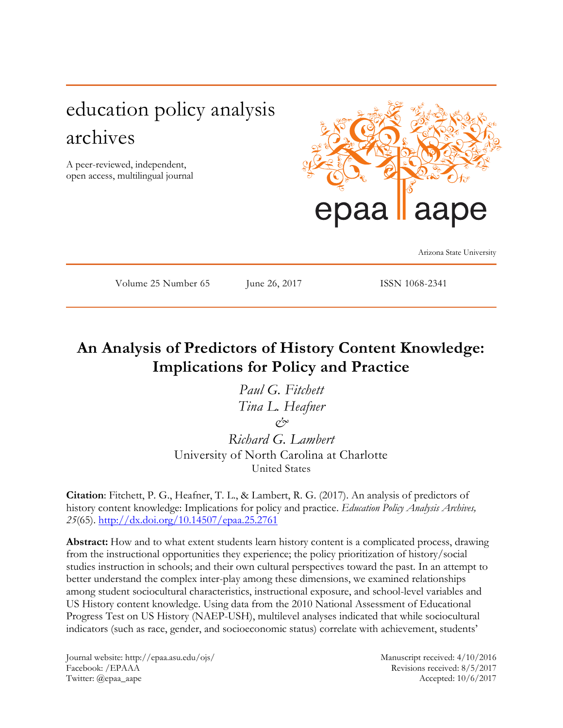# education policy analysis archives

A peer-reviewed, independent, open access, multilingual journal



Arizona State University

Volume 25 Number 65 June 26, 2017 ISSN 1068-2341

## **An Analysis of Predictors of History Content Knowledge: Implications for Policy and Practice**

*Paul G. Fitchett Tina L. Heafner & Richard G. Lambert* University of North Carolina at Charlotte United States

**Citation**: Fitchett, P. G., Heafner, T. L., & Lambert, R. G. (2017). An analysis of predictors of history content knowledge: Implications for policy and practice. *Education Policy Analysis Archives, 25*(65).<http://dx.doi.org/10.14507/epaa.25.2761>

**Abstract:** How and to what extent students learn history content is a complicated process, drawing from the instructional opportunities they experience; the policy prioritization of history/social studies instruction in schools; and their own cultural perspectives toward the past. In an attempt to better understand the complex inter-play among these dimensions, we examined relationships among student sociocultural characteristics, instructional exposure, and school-level variables and US History content knowledge. Using data from the 2010 National Assessment of Educational Progress Test on US History (NAEP-USH), multilevel analyses indicated that while sociocultural indicators (such as race, gender, and socioeconomic status) correlate with achievement, students'

Journal website: http://epaa.asu.edu/ojs/ Manuscript received: 4/10/2016 Facebook: /EPAAA Revisions received: 8/5/2017 Twitter: @epaa\_aape Accepted: 10/6/2017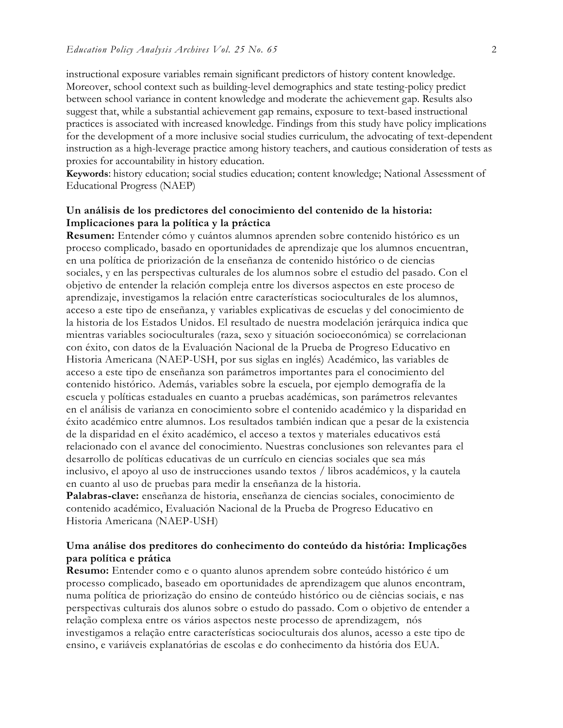instructional exposure variables remain significant predictors of history content knowledge. Moreover, school context such as building-level demographics and state testing-policy predict between school variance in content knowledge and moderate the achievement gap. Results also suggest that, while a substantial achievement gap remains, exposure to text-based instructional practices is associated with increased knowledge. Findings from this study have policy implications for the development of a more inclusive social studies curriculum, the advocating of text-dependent instruction as a high-leverage practice among history teachers, and cautious consideration of tests as proxies for accountability in history education.

**Keywords**: history education; social studies education; content knowledge; National Assessment of Educational Progress (NAEP)

#### **Un análisis de los predictores del conocimiento del contenido de la historia: Implicaciones para la política y la práctica**

**Resumen:** Entender cómo y cuántos alumnos aprenden sobre contenido histórico es un proceso complicado, basado en oportunidades de aprendizaje que los alumnos encuentran, en una política de priorización de la enseñanza de contenido histórico o de ciencias sociales, y en las perspectivas culturales de los alumnos sobre el estudio del pasado. Con el objetivo de entender la relación compleja entre los diversos aspectos en este proceso de aprendizaje, investigamos la relación entre características socioculturales de los alumnos, acceso a este tipo de enseñanza, y variables explicativas de escuelas y del conocimiento de la historia de los Estados Unidos. El resultado de nuestra modelación jerárquica indica que mientras variables socioculturales (raza, sexo y situación socioeconómica) se correlacionan con éxito, con datos de la Evaluación Nacional de la Prueba de Progreso Educativo en Historia Americana (NAEP-USH, por sus siglas en inglés) Académico, las variables de acceso a este tipo de enseñanza son parámetros importantes para el conocimiento del contenido histórico. Además, variables sobre la escuela, por ejemplo demografía de la escuela y políticas estaduales en cuanto a pruebas académicas, son parámetros relevantes en el análisis de varianza en conocimiento sobre el contenido académico y la disparidad en éxito académico entre alumnos. Los resultados también indican que a pesar de la existencia de la disparidad en el éxito académico, el acceso a textos y materiales educativos está relacionado con el avance del conocimiento. Nuestras conclusiones son relevantes para el desarrollo de políticas educativas de un currículo en ciencias sociales que sea más inclusivo, el apoyo al uso de instrucciones usando textos / libros académicos, y la cautela en cuanto al uso de pruebas para medir la enseñanza de la historia.

**Palabras-clave:** enseñanza de historia, enseñanza de ciencias sociales, conocimiento de contenido académico, Evaluación Nacional de la Prueba de Progreso Educativo en Historia Americana (NAEP-USH)

#### **Uma análise dos preditores do conhecimento do conteúdo da história: Implicações para política e prática**

**Resumo:** Entender como e o quanto alunos aprendem sobre conteúdo histórico é um processo complicado, baseado em oportunidades de aprendizagem que alunos encontram, numa política de priorização do ensino de conteúdo histórico ou de ciências sociais, e nas perspectivas culturais dos alunos sobre o estudo do passado. Com o objetivo de entender a relação complexa entre os vários aspectos neste processo de aprendizagem, nós investigamos a relação entre características socioculturais dos alunos, acesso a este tipo de ensino, e variáveis explanatórias de escolas e do conhecimento da história dos EUA.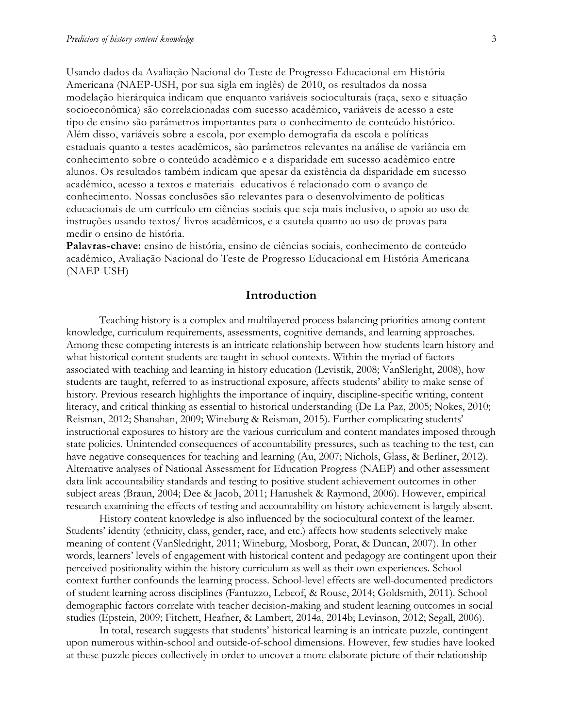Usando dados da Avaliação Nacional do Teste de Progresso Educacional em História Americana (NAEP-USH, por sua sigla em inglês) de 2010, os resultados da nossa modelação hierárquica indicam que enquanto variáveis socioculturais (raça, sexo e situação socioeconômica) são correlacionadas com sucesso acadêmico, variáveis de acesso a este tipo de ensino são parâmetros importantes para o conhecimento de conteúdo histórico. Além disso, variáveis sobre a escola, por exemplo demografia da escola e políticas estaduais quanto a testes acadêmicos, são parâmetros relevantes na análise de variância em conhecimento sobre o conteúdo acadêmico e a disparidade em sucesso acadêmico entre alunos. Os resultados também indicam que apesar da existência da disparidade em sucesso acadêmico, acesso a textos e materiais educativos é relacionado com o avanço de conhecimento. Nossas conclusões são relevantes para o desenvolvimento de políticas educacionais de um currículo em ciências sociais que seja mais inclusivo, o apoio ao uso de instruções usando textos/ livros acadêmicos, e a cautela quanto ao uso de provas para medir o ensino de história.

**Palavras-chave:** ensino de história, ensino de ciências sociais, conhecimento de conteúdo acadêmico, Avaliação Nacional do Teste de Progresso Educacional em História Americana (NAEP-USH)

#### **Introduction**

Teaching history is a complex and multilayered process balancing priorities among content knowledge, curriculum requirements, assessments, cognitive demands, and learning approaches. Among these competing interests is an intricate relationship between how students learn history and what historical content students are taught in school contexts. Within the myriad of factors associated with teaching and learning in history education (Levistik, 2008; VanSleright, 2008), how students are taught, referred to as instructional exposure, affects students' ability to make sense of history. Previous research highlights the importance of inquiry, discipline-specific writing, content literacy, and critical thinking as essential to historical understanding (De La Paz, 2005; Nokes, 2010; Reisman, 2012; Shanahan, 2009; Wineburg & Reisman, 2015). Further complicating students' instructional exposures to history are the various curriculum and content mandates imposed through state policies. Unintended consequences of accountability pressures, such as teaching to the test, can have negative consequences for teaching and learning (Au, 2007; Nichols, Glass, & Berliner, 2012). Alternative analyses of National Assessment for Education Progress (NAEP) and other assessment data link accountability standards and testing to positive student achievement outcomes in other subject areas (Braun, 2004; Dee & Jacob, 2011; Hanushek & Raymond, 2006). However, empirical research examining the effects of testing and accountability on history achievement is largely absent.

History content knowledge is also influenced by the sociocultural context of the learner. Students' identity (ethnicity, class, gender, race, and etc.) affects how students selectively make meaning of content (VanSledright, 2011; Wineburg, Mosborg, Porat, & Duncan, 2007). In other words, learners' levels of engagement with historical content and pedagogy are contingent upon their perceived positionality within the history curriculum as well as their own experiences. School context further confounds the learning process. School-level effects are well-documented predictors of student learning across disciplines (Fantuzzo, Lebeof, & Rouse, 2014; Goldsmith, 2011). School demographic factors correlate with teacher decision-making and student learning outcomes in social studies (Epstein, 2009; Fitchett, Heafner, & Lambert, 2014a, 2014b; Levinson, 2012; Segall, 2006).

In total, research suggests that students' historical learning is an intricate puzzle, contingent upon numerous within-school and outside-of-school dimensions. However, few studies have looked at these puzzle pieces collectively in order to uncover a more elaborate picture of their relationship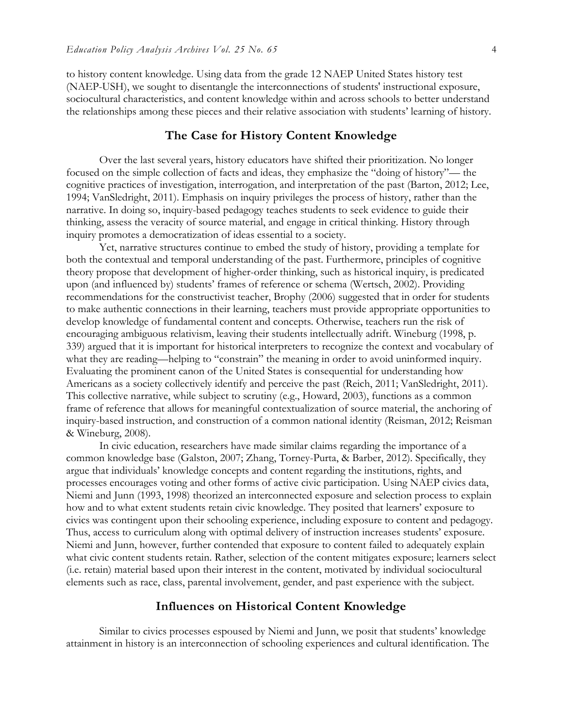to history content knowledge. Using data from the grade 12 NAEP United States history test (NAEP-USH), we sought to disentangle the interconnections of students' instructional exposure, sociocultural characteristics, and content knowledge within and across schools to better understand the relationships among these pieces and their relative association with students' learning of history.

#### **The Case for History Content Knowledge**

Over the last several years, history educators have shifted their prioritization. No longer focused on the simple collection of facts and ideas, they emphasize the "doing of history"— the cognitive practices of investigation, interrogation, and interpretation of the past (Barton, 2012; Lee, 1994; VanSledright, 2011). Emphasis on inquiry privileges the process of history, rather than the narrative. In doing so, inquiry-based pedagogy teaches students to seek evidence to guide their thinking, assess the veracity of source material, and engage in critical thinking. History through inquiry promotes a democratization of ideas essential to a society.

Yet, narrative structures continue to embed the study of history, providing a template for both the contextual and temporal understanding of the past. Furthermore, principles of cognitive theory propose that development of higher-order thinking, such as historical inquiry, is predicated upon (and influenced by) students' frames of reference or schema (Wertsch, 2002). Providing recommendations for the constructivist teacher, Brophy (2006) suggested that in order for students to make authentic connections in their learning, teachers must provide appropriate opportunities to develop knowledge of fundamental content and concepts. Otherwise, teachers run the risk of encouraging ambiguous relativism, leaving their students intellectually adrift. Wineburg (1998, p. 339) argued that it is important for historical interpreters to recognize the context and vocabulary of what they are reading—helping to "constrain" the meaning in order to avoid uninformed inquiry. Evaluating the prominent canon of the United States is consequential for understanding how Americans as a society collectively identify and perceive the past (Reich, 2011; VanSledright, 2011). This collective narrative, while subject to scrutiny (e.g., Howard, 2003), functions as a common frame of reference that allows for meaningful contextualization of source material, the anchoring of inquiry-based instruction, and construction of a common national identity (Reisman, 2012; Reisman & Wineburg, 2008).

In civic education, researchers have made similar claims regarding the importance of a common knowledge base (Galston, 2007; Zhang, Torney-Purta, & Barber, 2012). Specifically, they argue that individuals' knowledge concepts and content regarding the institutions, rights, and processes encourages voting and other forms of active civic participation. Using NAEP civics data, Niemi and Junn (1993, 1998) theorized an interconnected exposure and selection process to explain how and to what extent students retain civic knowledge. They posited that learners' exposure to civics was contingent upon their schooling experience, including exposure to content and pedagogy. Thus, access to curriculum along with optimal delivery of instruction increases students' exposure. Niemi and Junn, however, further contended that exposure to content failed to adequately explain what civic content students retain. Rather, selection of the content mitigates exposure; learners select (i.e. retain) material based upon their interest in the content, motivated by individual sociocultural elements such as race, class, parental involvement, gender, and past experience with the subject.

#### **Influences on Historical Content Knowledge**

Similar to civics processes espoused by Niemi and Junn, we posit that students' knowledge attainment in history is an interconnection of schooling experiences and cultural identification. The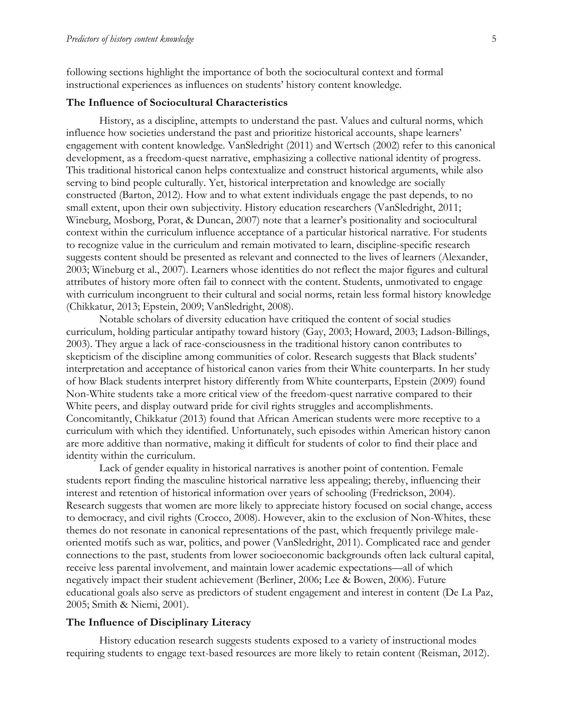following sections highlight the importance of both the sociocultural context and formal instructional experiences as influences on students' history content knowledge.

#### **The Influence of Sociocultural Characteristics**

History, as a discipline, attempts to understand the past. Values and cultural norms, which influence how societies understand the past and prioritize historical accounts, shape learners' engagement with content knowledge. VanSledright (2011) and Wertsch (2002) refer to this canonical development, as a freedom-quest narrative, emphasizing a collective national identity of progress. This traditional historical canon helps contextualize and construct historical arguments, while also serving to bind people culturally. Yet, historical interpretation and knowledge are socially constructed (Barton, 2012). How and to what extent individuals engage the past depends, to no small extent, upon their own subjectivity. History education researchers (VanSledright, 2011; Wineburg, Mosborg, Porat, & Duncan, 2007) note that a learner's positionality and sociocultural context within the curriculum influence acceptance of a particular historical narrative. For students to recognize value in the curriculum and remain motivated to learn, discipline-specific research suggests content should be presented as relevant and connected to the lives of learners (Alexander, 2003; Wineburg et al., 2007). Learners whose identities do not reflect the major figures and cultural attributes of history more often fail to connect with the content. Students, unmotivated to engage with curriculum incongruent to their cultural and social norms, retain less formal history knowledge (Chikkatur, 2013; Epstein, 2009; VanSledright, 2008).

Notable scholars of diversity education have critiqued the content of social studies curriculum, holding particular antipathy toward history (Gay, 2003; Howard, 2003; Ladson-Billings, 2003). They argue a lack of race-consciousness in the traditional history canon contributes to skepticism of the discipline among communities of color. Research suggests that Black students' interpretation and acceptance of historical canon varies from their White counterparts. In her study of how Black students interpret history differently from White counterparts, Epstein (2009) found Non-White students take a more critical view of the freedom-quest narrative compared to their White peers, and display outward pride for civil rights struggles and accomplishments. Concomitantly, Chikkatur (2013) found that African American students were more receptive to a curriculum with which they identified. Unfortunately, such episodes within American history canon are more additive than normative, making it difficult for students of color to find their place and identity within the curriculum.

Lack of gender equality in historical narratives is another point of contention. Female students report finding the masculine historical narrative less appealing; thereby, influencing their interest and retention of historical information over years of schooling (Fredrickson, 2004). Research suggests that women are more likely to appreciate history focused on social change, access to democracy, and civil rights (Crocco, 2008). However, akin to the exclusion of Non-Whites, these themes do not resonate in canonical representations of the past, which frequently privilege maleoriented motifs such as war, politics, and power (VanSledright, 2011). Complicated race and gender connections to the past, students from lower socioeconomic backgrounds often lack cultural capital, receive less parental involvement, and maintain lower academic expectations—all of which negatively impact their student achievement (Berliner, 2006; Lee & Bowen, 2006). Future educational goals also serve as predictors of student engagement and interest in content (De La Paz, 2005; Smith & Niemi, 2001).

#### **The Influence of Disciplinary Literacy**

History education research suggests students exposed to a variety of instructional modes requiring students to engage text-based resources are more likely to retain content (Reisman, 2012).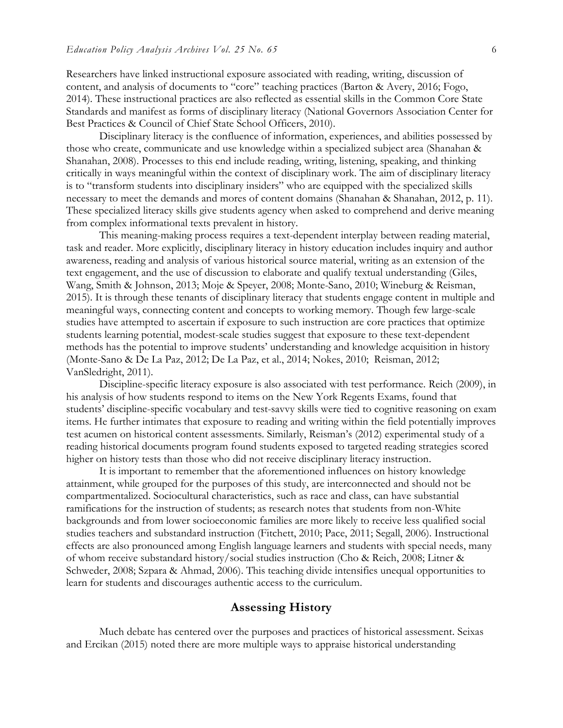Researchers have linked instructional exposure associated with reading, writing, discussion of content, and analysis of documents to "core" teaching practices (Barton & Avery, 2016; Fogo, 2014). These instructional practices are also reflected as essential skills in the Common Core State Standards and manifest as forms of disciplinary literacy (National Governors Association Center for Best Practices & Council of Chief State School Officers, 2010).

Disciplinary literacy is the confluence of information, experiences, and abilities possessed by those who create, communicate and use knowledge within a specialized subject area (Shanahan & Shanahan, 2008). Processes to this end include reading, writing, listening, speaking, and thinking critically in ways meaningful within the context of disciplinary work. The aim of disciplinary literacy is to "transform students into disciplinary insiders" who are equipped with the specialized skills necessary to meet the demands and mores of content domains (Shanahan & Shanahan, 2012, p. 11). These specialized literacy skills give students agency when asked to comprehend and derive meaning from complex informational texts prevalent in history.

This meaning-making process requires a text-dependent interplay between reading material, task and reader. More explicitly, disciplinary literacy in history education includes inquiry and author awareness, reading and analysis of various historical source material, writing as an extension of the text engagement, and the use of discussion to elaborate and qualify textual understanding (Giles, Wang, Smith & Johnson, 2013; Moje & Speyer, 2008; Monte-Sano, 2010; Wineburg & Reisman, 2015). It is through these tenants of disciplinary literacy that students engage content in multiple and meaningful ways, connecting content and concepts to working memory. Though few large-scale studies have attempted to ascertain if exposure to such instruction are core practices that optimize students learning potential, modest-scale studies suggest that exposure to these text-dependent methods has the potential to improve students' understanding and knowledge acquisition in history (Monte-Sano & De La Paz, 2012; De La Paz, et al., 2014; Nokes, 2010; Reisman, 2012; VanSledright, 2011).

Discipline-specific literacy exposure is also associated with test performance. Reich (2009), in his analysis of how students respond to items on the New York Regents Exams, found that students' discipline-specific vocabulary and test-savvy skills were tied to cognitive reasoning on exam items. He further intimates that exposure to reading and writing within the field potentially improves test acumen on historical content assessments. Similarly, Reisman's (2012) experimental study of a reading historical documents program found students exposed to targeted reading strategies scored higher on history tests than those who did not receive disciplinary literacy instruction.

It is important to remember that the aforementioned influences on history knowledge attainment, while grouped for the purposes of this study, are interconnected and should not be compartmentalized. Sociocultural characteristics, such as race and class, can have substantial ramifications for the instruction of students; as research notes that students from non-White backgrounds and from lower socioeconomic families are more likely to receive less qualified social studies teachers and substandard instruction (Fitchett, 2010; Pace, 2011; Segall, 2006). Instructional effects are also pronounced among English language learners and students with special needs, many of whom receive substandard history/social studies instruction (Cho & Reich, 2008; Litner & Schweder, 2008; Szpara & Ahmad, 2006). This teaching divide intensifies unequal opportunities to learn for students and discourages authentic access to the curriculum.

#### **Assessing History**

Much debate has centered over the purposes and practices of historical assessment. Seixas and Ercikan (2015) noted there are more multiple ways to appraise historical understanding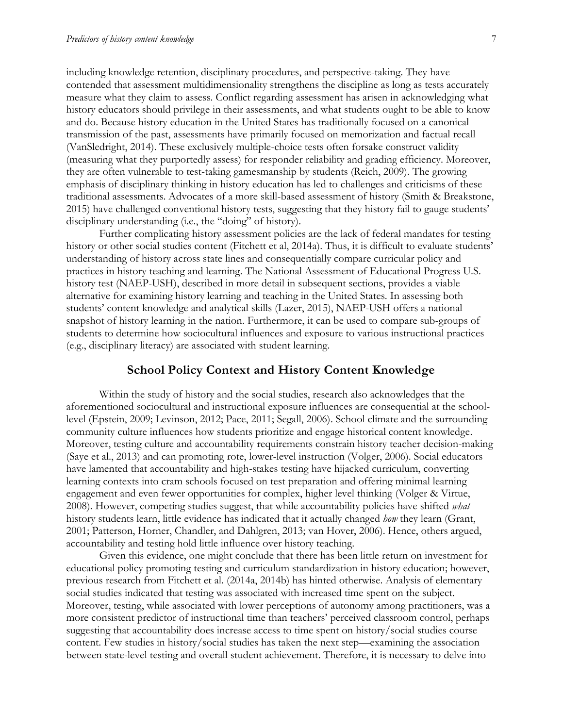including knowledge retention, disciplinary procedures, and perspective-taking. They have contended that assessment multidimensionality strengthens the discipline as long as tests accurately measure what they claim to assess. Conflict regarding assessment has arisen in acknowledging what history educators should privilege in their assessments, and what students ought to be able to know and do. Because history education in the United States has traditionally focused on a canonical transmission of the past, assessments have primarily focused on memorization and factual recall (VanSledright, 2014). These exclusively multiple-choice tests often forsake construct validity (measuring what they purportedly assess) for responder reliability and grading efficiency. Moreover, they are often vulnerable to test-taking gamesmanship by students (Reich, 2009). The growing emphasis of disciplinary thinking in history education has led to challenges and criticisms of these traditional assessments. Advocates of a more skill-based assessment of history (Smith & Breakstone, 2015) have challenged conventional history tests, suggesting that they history fail to gauge students' disciplinary understanding (i.e., the "doing" of history).

Further complicating history assessment policies are the lack of federal mandates for testing history or other social studies content (Fitchett et al, 2014a). Thus, it is difficult to evaluate students' understanding of history across state lines and consequentially compare curricular policy and practices in history teaching and learning. The National Assessment of Educational Progress U.S. history test (NAEP-USH), described in more detail in subsequent sections, provides a viable alternative for examining history learning and teaching in the United States. In assessing both students' content knowledge and analytical skills (Lazer, 2015), NAEP-USH offers a national snapshot of history learning in the nation. Furthermore, it can be used to compare sub-groups of students to determine how sociocultural influences and exposure to various instructional practices (e.g., disciplinary literacy) are associated with student learning.

#### **School Policy Context and History Content Knowledge**

Within the study of history and the social studies, research also acknowledges that the aforementioned sociocultural and instructional exposure influences are consequential at the schoollevel (Epstein, 2009; Levinson, 2012; Pace, 2011; Segall, 2006). School climate and the surrounding community culture influences how students prioritize and engage historical content knowledge. Moreover, testing culture and accountability requirements constrain history teacher decision-making (Saye et al., 2013) and can promoting rote, lower-level instruction (Volger, 2006). Social educators have lamented that accountability and high-stakes testing have hijacked curriculum, converting learning contexts into cram schools focused on test preparation and offering minimal learning engagement and even fewer opportunities for complex, higher level thinking (Volger & Virtue, 2008). However, competing studies suggest, that while accountability policies have shifted *what* history students learn, little evidence has indicated that it actually changed *how* they learn (Grant, 2001; Patterson, Horner, Chandler, and Dahlgren, 2013; van Hover, 2006). Hence, others argued, accountability and testing hold little influence over history teaching.

Given this evidence, one might conclude that there has been little return on investment for educational policy promoting testing and curriculum standardization in history education; however, previous research from Fitchett et al. (2014a, 2014b) has hinted otherwise. Analysis of elementary social studies indicated that testing was associated with increased time spent on the subject. Moreover, testing, while associated with lower perceptions of autonomy among practitioners, was a more consistent predictor of instructional time than teachers' perceived classroom control, perhaps suggesting that accountability does increase access to time spent on history/social studies course content. Few studies in history/social studies has taken the next step—examining the association between state-level testing and overall student achievement. Therefore, it is necessary to delve into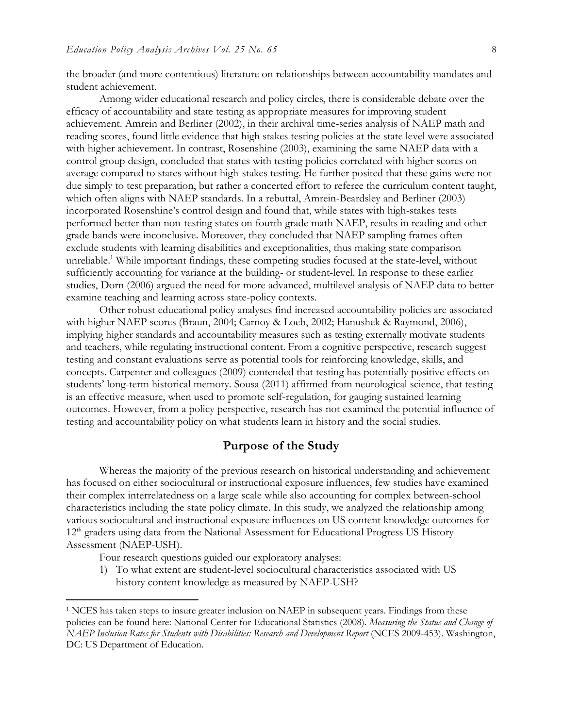the broader (and more contentious) literature on relationships between accountability mandates and student achievement.

Among wider educational research and policy circles, there is considerable debate over the efficacy of accountability and state testing as appropriate measures for improving student achievement. Amrein and Berliner (2002), in their archival time-series analysis of NAEP math and reading scores, found little evidence that high stakes testing policies at the state level were associated with higher achievement. In contrast, Rosenshine (2003), examining the same NAEP data with a control group design, concluded that states with testing policies correlated with higher scores on average compared to states without high-stakes testing. He further posited that these gains were not due simply to test preparation, but rather a concerted effort to referee the curriculum content taught, which often aligns with NAEP standards. In a rebuttal, Amrein-Beardsley and Berliner (2003) incorporated Rosenshine's control design and found that, while states with high-stakes tests performed better than non-testing states on fourth grade math NAEP, results in reading and other grade bands were inconclusive. Moreover, they concluded that NAEP sampling frames often exclude students with learning disabilities and exceptionalities, thus making state comparison unreliable.<sup>1</sup> While important findings, these competing studies focused at the state-level, without sufficiently accounting for variance at the building- or student-level. In response to these earlier studies, Dorn (2006) argued the need for more advanced, multilevel analysis of NAEP data to better examine teaching and learning across state-policy contexts.

Other robust educational policy analyses find increased accountability policies are associated with higher NAEP scores (Braun, 2004; Carnoy & Loeb, 2002; Hanushek & Raymond, 2006), implying higher standards and accountability measures such as testing externally motivate students and teachers, while regulating instructional content. From a cognitive perspective, research suggest testing and constant evaluations serve as potential tools for reinforcing knowledge, skills, and concepts. Carpenter and colleagues (2009) contended that testing has potentially positive effects on students' long-term historical memory. Sousa (2011) affirmed from neurological science, that testing is an effective measure, when used to promote self-regulation, for gauging sustained learning outcomes. However, from a policy perspective, research has not examined the potential influence of testing and accountability policy on what students learn in history and the social studies.

## **Purpose of the Study**

Whereas the majority of the previous research on historical understanding and achievement has focused on either sociocultural or instructional exposure influences, few studies have examined their complex interrelatedness on a large scale while also accounting for complex between-school characteristics including the state policy climate. In this study, we analyzed the relationship among various sociocultural and instructional exposure influences on US content knowledge outcomes for 12<sup>th</sup> graders using data from the National Assessment for Educational Progress US History Assessment (NAEP-USH).

Four research questions guided our exploratory analyses:

 $\overline{a}$ 

1) To what extent are student-level sociocultural characteristics associated with US history content knowledge as measured by NAEP-USH?

<sup>1</sup> NCES has taken steps to insure greater inclusion on NAEP in subsequent years. Findings from these policies can be found here: National Center for Educational Statistics (2008). *Measuring the Status and Change of NAEP Inclusion Rates for Students with Disabilities: Research and Development Report* (NCES 2009-453). Washington, DC: US Department of Education.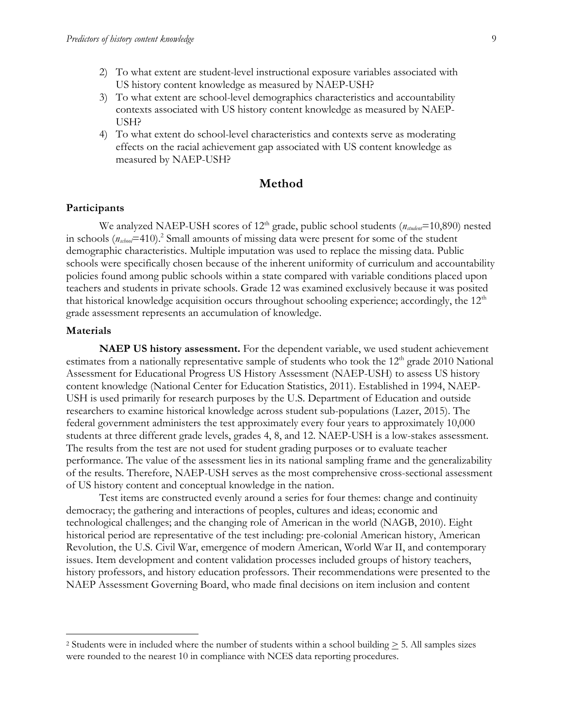- 2) To what extent are student-level instructional exposure variables associated with US history content knowledge as measured by NAEP-USH?
- 3) To what extent are school-level demographics characteristics and accountability contexts associated with US history content knowledge as measured by NAEP-USH?
- 4) To what extent do school-level characteristics and contexts serve as moderating effects on the racial achievement gap associated with US content knowledge as measured by NAEP-USH?

#### **Method**

#### **Participants**

We analyzed NAEP-USH scores of 12<sup>th</sup> grade, public school students ( $n_{student}$ =10,890) nested in schools (*nschool*=410).<sup>2</sup> Small amounts of missing data were present for some of the student demographic characteristics. Multiple imputation was used to replace the missing data. Public schools were specifically chosen because of the inherent uniformity of curriculum and accountability policies found among public schools within a state compared with variable conditions placed upon teachers and students in private schools. Grade 12 was examined exclusively because it was posited that historical knowledge acquisition occurs throughout schooling experience; accordingly, the  $12<sup>th</sup>$ grade assessment represents an accumulation of knowledge.

#### **Materials**

l

**NAEP US history assessment.** For the dependent variable, we used student achievement estimates from a nationally representative sample of students who took the 12<sup>th</sup> grade 2010 National Assessment for Educational Progress US History Assessment (NAEP-USH) to assess US history content knowledge (National Center for Education Statistics, 2011). Established in 1994, NAEP-USH is used primarily for research purposes by the U.S. Department of Education and outside researchers to examine historical knowledge across student sub-populations (Lazer, 2015). The federal government administers the test approximately every four years to approximately 10,000 students at three different grade levels, grades 4, 8, and 12. NAEP-USH is a low-stakes assessment. The results from the test are not used for student grading purposes or to evaluate teacher performance. The value of the assessment lies in its national sampling frame and the generalizability of the results. Therefore, NAEP-USH serves as the most comprehensive cross-sectional assessment of US history content and conceptual knowledge in the nation.

Test items are constructed evenly around a series for four themes: change and continuity democracy; the gathering and interactions of peoples, cultures and ideas; economic and technological challenges; and the changing role of American in the world (NAGB, 2010). Eight historical period are representative of the test including: pre-colonial American history, American Revolution, the U.S. Civil War, emergence of modern American, World War II, and contemporary issues. Item development and content validation processes included groups of history teachers, history professors, and history education professors. Their recommendations were presented to the NAEP Assessment Governing Board, who made final decisions on item inclusion and content

<sup>2</sup> Students were in included where the number of students within a school building > 5. All samples sizes were rounded to the nearest 10 in compliance with NCES data reporting procedures.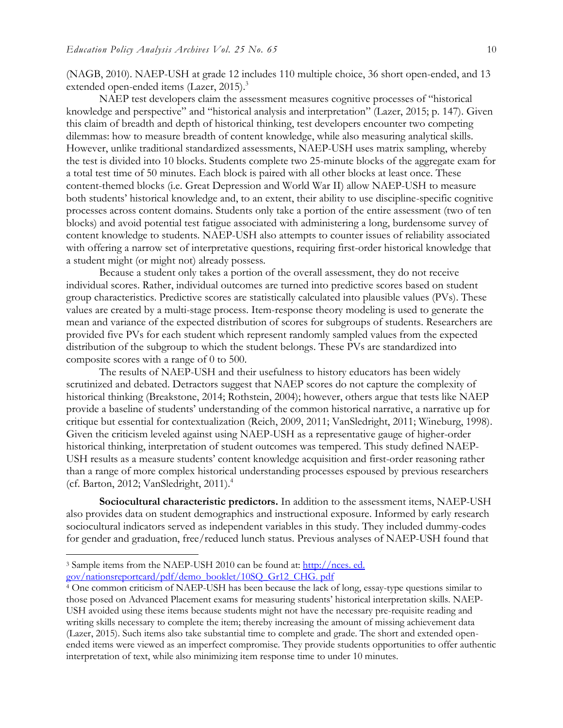(NAGB, 2010). NAEP-USH at grade 12 includes 110 multiple choice, 36 short open-ended, and 13 extended open-ended items (Lazer, 2015).<sup>3</sup>

NAEP test developers claim the assessment measures cognitive processes of "historical knowledge and perspective" and "historical analysis and interpretation" (Lazer, 2015; p. 147). Given this claim of breadth and depth of historical thinking, test developers encounter two competing dilemmas: how to measure breadth of content knowledge, while also measuring analytical skills. However, unlike traditional standardized assessments, NAEP-USH uses matrix sampling, whereby the test is divided into 10 blocks. Students complete two 25-minute blocks of the aggregate exam for a total test time of 50 minutes. Each block is paired with all other blocks at least once. These content-themed blocks (i.e. Great Depression and World War II) allow NAEP-USH to measure both students' historical knowledge and, to an extent, their ability to use discipline-specific cognitive processes across content domains. Students only take a portion of the entire assessment (two of ten blocks) and avoid potential test fatigue associated with administering a long, burdensome survey of content knowledge to students. NAEP-USH also attempts to counter issues of reliability associated with offering a narrow set of interpretative questions, requiring first-order historical knowledge that a student might (or might not) already possess.

Because a student only takes a portion of the overall assessment, they do not receive individual scores. Rather, individual outcomes are turned into predictive scores based on student group characteristics. Predictive scores are statistically calculated into plausible values (PVs). These values are created by a multi-stage process. Item-response theory modeling is used to generate the mean and variance of the expected distribution of scores for subgroups of students. Researchers are provided five PVs for each student which represent randomly sampled values from the expected distribution of the subgroup to which the student belongs. These PVs are standardized into composite scores with a range of 0 to 500.

The results of NAEP-USH and their usefulness to history educators has been widely scrutinized and debated. Detractors suggest that NAEP scores do not capture the complexity of historical thinking (Breakstone, 2014; Rothstein, 2004); however, others argue that tests like NAEP provide a baseline of students' understanding of the common historical narrative, a narrative up for critique but essential for contextualization (Reich, 2009, 2011; VanSledright, 2011; Wineburg, 1998). Given the criticism leveled against using NAEP-USH as a representative gauge of higher-order historical thinking, interpretation of student outcomes was tempered. This study defined NAEP-USH results as a measure students' content knowledge acquisition and first-order reasoning rather than a range of more complex historical understanding processes espoused by previous researchers (cf. Barton, 2012; VanSledright, 2011). 4

**Sociocultural characteristic predictors.** In addition to the assessment items, NAEP-USH also provides data on student demographics and instructional exposure. Informed by early research sociocultural indicators served as independent variables in this study. They included dummy-codes for gender and graduation, free/reduced lunch status. Previous analyses of NAEP-USH found that

l

<sup>3</sup> Sample items from the NAEP-USH 2010 can be found at: [http://nces. ed.](http://nces.ed.gov/nationsreportcard/pdf/demo_booklet/10SQ_Gr12_CHG.pdf) 

[gov/nationsreportcard/pdf/demo\\_booklet/10SQ\\_Gr12\\_CHG. pdf](http://nces.ed.gov/nationsreportcard/pdf/demo_booklet/10SQ_Gr12_CHG.pdf)

<sup>&</sup>lt;sup>4</sup> One common criticism of NAEP-USH has been because the lack of long, essay-type questions similar to those posed on Advanced Placement exams for measuring students' historical interpretation skills. NAEP-USH avoided using these items because students might not have the necessary pre-requisite reading and writing skills necessary to complete the item; thereby increasing the amount of missing achievement data (Lazer, 2015). Such items also take substantial time to complete and grade. The short and extended openended items were viewed as an imperfect compromise. They provide students opportunities to offer authentic interpretation of text, while also minimizing item response time to under 10 minutes.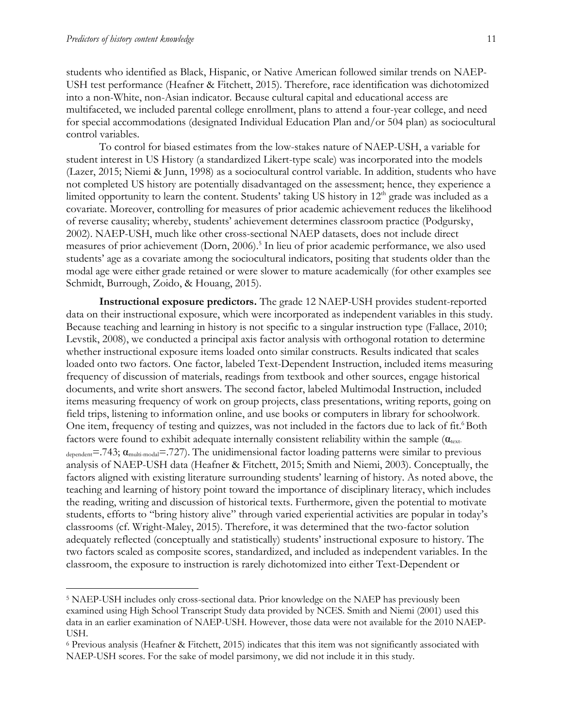$\overline{a}$ 

students who identified as Black, Hispanic, or Native American followed similar trends on NAEP-USH test performance (Heafner & Fitchett, 2015). Therefore, race identification was dichotomized into a non-White, non-Asian indicator. Because cultural capital and educational access are multifaceted, we included parental college enrollment, plans to attend a four-year college, and need for special accommodations (designated Individual Education Plan and/or 504 plan) as sociocultural control variables.

To control for biased estimates from the low-stakes nature of NAEP-USH, a variable for student interest in US History (a standardized Likert-type scale) was incorporated into the models (Lazer, 2015; Niemi & Junn, 1998) as a sociocultural control variable. In addition, students who have not completed US history are potentially disadvantaged on the assessment; hence, they experience a limited opportunity to learn the content. Students' taking US history in  $12<sup>th</sup>$  grade was included as a covariate. Moreover, controlling for measures of prior academic achievement reduces the likelihood of reverse causality; whereby, students' achievement determines classroom practice (Podgursky, 2002). NAEP-USH, much like other cross-sectional NAEP datasets, does not include direct measures of prior achievement (Dorn, 2006).<sup>5</sup> In lieu of prior academic performance, we also used students' age as a covariate among the sociocultural indicators, positing that students older than the modal age were either grade retained or were slower to mature academically (for other examples see Schmidt, Burrough, Zoido, & Houang, 2015).

**Instructional exposure predictors.** The grade 12 NAEP-USH provides student-reported data on their instructional exposure, which were incorporated as independent variables in this study. Because teaching and learning in history is not specific to a singular instruction type (Fallace, 2010; Levstik, 2008), we conducted a principal axis factor analysis with orthogonal rotation to determine whether instructional exposure items loaded onto similar constructs. Results indicated that scales loaded onto two factors. One factor, labeled Text-Dependent Instruction, included items measuring frequency of discussion of materials, readings from textbook and other sources, engage historical documents, and write short answers. The second factor, labeled Multimodal Instruction, included items measuring frequency of work on group projects, class presentations, writing reports, going on field trips, listening to information online, and use books or computers in library for schoolwork. One item, frequency of testing and quizzes, was not included in the factors due to lack of fit. Both factors were found to exhibit adequate internally consistent reliability within the sample  $(\alpha_{\text{text}}$  $d_{\text{epeatedent}} = .743$ ;  $\alpha_{\text{multi-model}} = .727$ ). The unidimensional factor loading patterns were similar to previous analysis of NAEP-USH data (Heafner & Fitchett, 2015; Smith and Niemi, 2003). Conceptually, the factors aligned with existing literature surrounding students' learning of history. As noted above, the teaching and learning of history point toward the importance of disciplinary literacy, which includes the reading, writing and discussion of historical texts. Furthermore, given the potential to motivate students, efforts to "bring history alive" through varied experiential activities are popular in today's classrooms (cf. Wright-Maley, 2015). Therefore, it was determined that the two-factor solution adequately reflected (conceptually and statistically) students' instructional exposure to history. The two factors scaled as composite scores, standardized, and included as independent variables. In the classroom, the exposure to instruction is rarely dichotomized into either Text-Dependent or

<sup>5</sup> NAEP-USH includes only cross-sectional data. Prior knowledge on the NAEP has previously been examined using High School Transcript Study data provided by NCES. Smith and Niemi (2001) used this data in an earlier examination of NAEP-USH. However, those data were not available for the 2010 NAEP-USH.

<sup>6</sup> Previous analysis (Heafner & Fitchett, 2015) indicates that this item was not significantly associated with NAEP-USH scores. For the sake of model parsimony, we did not include it in this study.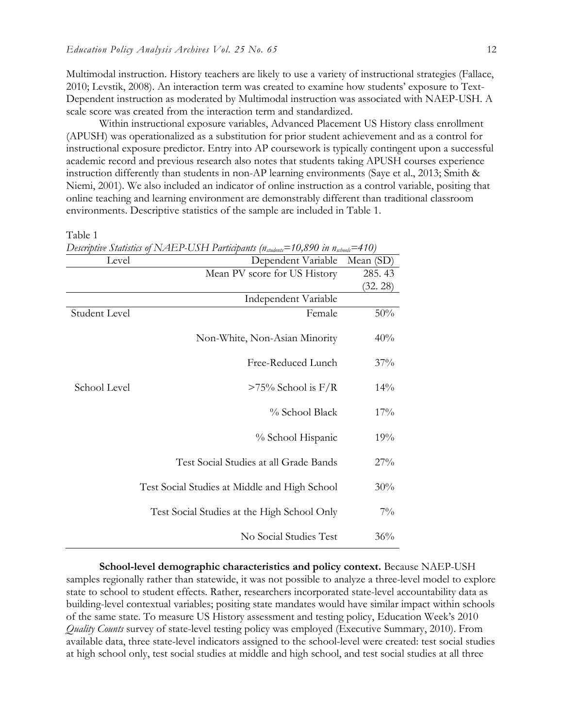Multimodal instruction. History teachers are likely to use a variety of instructional strategies (Fallace, 2010; Levstik, 2008). An interaction term was created to examine how students' exposure to Text-Dependent instruction as moderated by Multimodal instruction was associated with NAEP-USH. A scale score was created from the interaction term and standardized.

Within instructional exposure variables, Advanced Placement US History class enrollment (APUSH) was operationalized as a substitution for prior student achievement and as a control for instructional exposure predictor. Entry into AP coursework is typically contingent upon a successful academic record and previous research also notes that students taking APUSH courses experience instruction differently than students in non-AP learning environments (Saye et al., 2013; Smith & Niemi, 2001). We also included an indicator of online instruction as a control variable, positing that online teaching and learning environment are demonstrably different than traditional classroom environments. Descriptive statistics of the sample are included in Table 1.

Table 1

| Level         | Descriptive Statistics of NAEP-USH Participants ( $n_{\text{student}}$ =10,890 in $n_{\text{school}}$ =410) |           |
|---------------|-------------------------------------------------------------------------------------------------------------|-----------|
|               | Dependent Variable                                                                                          | Mean (SD) |
|               | Mean PV score for US History                                                                                | 285.43    |
|               |                                                                                                             | (32. 28)  |
|               | Independent Variable                                                                                        |           |
| Student Level | Female                                                                                                      | 50%       |
|               | Non-White, Non-Asian Minority                                                                               | 40%       |
|               | Free-Reduced Lunch                                                                                          | 37%       |
| School Level  | $>75\%$ School is F/R                                                                                       | 14%       |
|               | % School Black                                                                                              | 17%       |
|               | % School Hispanic                                                                                           | 19%       |
|               | Test Social Studies at all Grade Bands                                                                      | 27%       |
|               | Test Social Studies at Middle and High School                                                               | 30%       |
|               | Test Social Studies at the High School Only                                                                 | $7\%$     |
|               | No Social Studies Test                                                                                      | 36%       |

**School-level demographic characteristics and policy context.** Because NAEP-USH samples regionally rather than statewide, it was not possible to analyze a three-level model to explore state to school to student effects. Rather, researchers incorporated state-level accountability data as building-level contextual variables; positing state mandates would have similar impact within schools of the same state. To measure US History assessment and testing policy, Education Week's 2010 *Quality Counts* survey of state-level testing policy was employed (Executive Summary, 2010). From available data, three state-level indicators assigned to the school-level were created: test social studies at high school only, test social studies at middle and high school, and test social studies at all three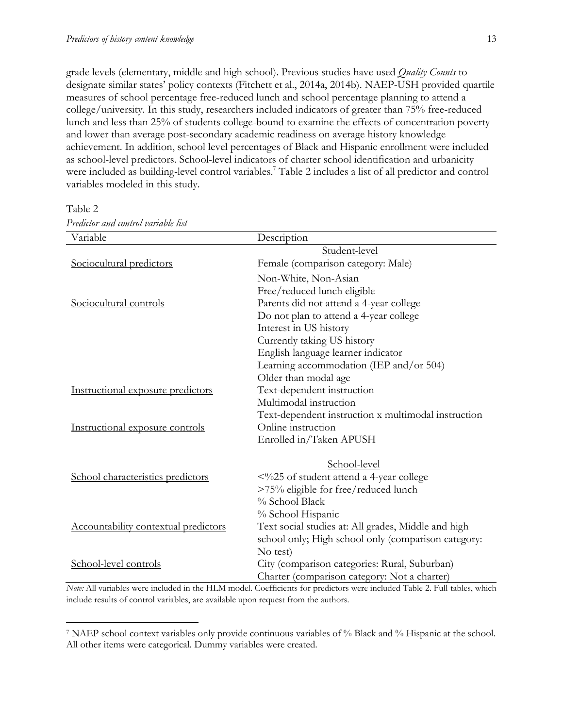grade levels (elementary, middle and high school). Previous studies have used *Quality Counts* to designate similar states' policy contexts (Fitchett et al., 2014a, 2014b). NAEP-USH provided quartile measures of school percentage free-reduced lunch and school percentage planning to attend a college/university. In this study, researchers included indicators of greater than 75% free-reduced lunch and less than 25% of students college-bound to examine the effects of concentration poverty and lower than average post-secondary academic readiness on average history knowledge achievement. In addition, school level percentages of Black and Hispanic enrollment were included as school-level predictors. School-level indicators of charter school identification and urbanicity were included as building-level control variables. <sup>7</sup> Table 2 includes a list of all predictor and control variables modeled in this study.

| Variable                                    | Description                                         |
|---------------------------------------------|-----------------------------------------------------|
|                                             | Student-level                                       |
| Sociocultural predictors                    | Female (comparison category: Male)                  |
|                                             | Non-White, Non-Asian                                |
|                                             | Free/reduced lunch eligible                         |
| Sociocultural controls                      | Parents did not attend a 4-year college             |
|                                             | Do not plan to attend a 4-year college              |
|                                             | Interest in US history                              |
|                                             | Currently taking US history                         |
|                                             | English language learner indicator                  |
|                                             | Learning accommodation (IEP and/or 504)             |
|                                             | Older than modal age                                |
| Instructional exposure predictors           | Text-dependent instruction                          |
|                                             | Multimodal instruction                              |
|                                             | Text-dependent instruction x multimodal instruction |
| Instructional exposure controls             | Online instruction                                  |
|                                             | Enrolled in/Taken APUSH                             |
|                                             | School-level                                        |
| School characteristics predictors           | <%25 of student attend a 4-year college             |
|                                             | >75% eligible for free/reduced lunch                |
|                                             | % School Black                                      |
|                                             | % School Hispanic                                   |
| <b>Accountability contextual predictors</b> | Text social studies at: All grades, Middle and high |
|                                             | school only; High school only (comparison category: |
|                                             | No test)                                            |
| School-level controls                       | City (comparison categories: Rural, Suburban)       |
|                                             | Charter (comparison category: Not a charter)        |

Table 2

l

*Predictor and control variable list*

*Note:* All variables were included in the HLM model. Coefficients for predictors were included Table 2. Full tables, which include results of control variables, are available upon request from the authors.

<sup>7</sup> NAEP school context variables only provide continuous variables of % Black and % Hispanic at the school. All other items were categorical. Dummy variables were created.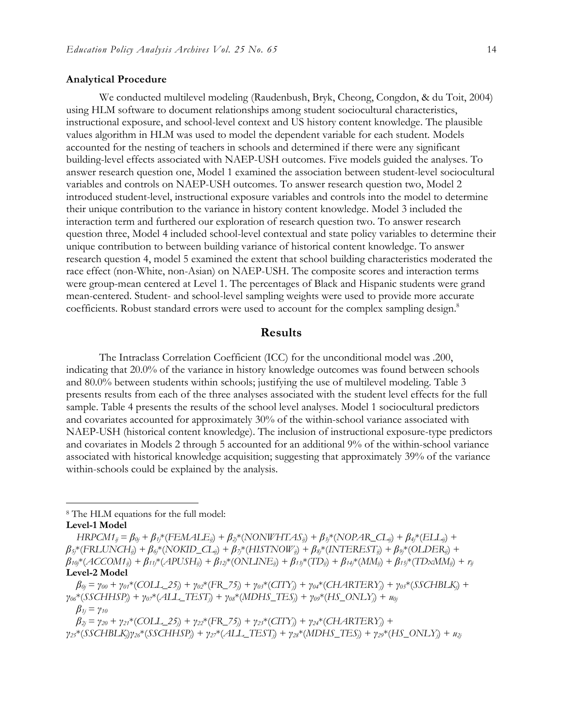#### **Analytical Procedure**

We conducted multilevel modeling (Raudenbush, Bryk, Cheong, Congdon, & du Toit, 2004) using HLM software to document relationships among student sociocultural characteristics, instructional exposure, and school-level context and US history content knowledge. The plausible values algorithm in HLM was used to model the dependent variable for each student. Models accounted for the nesting of teachers in schools and determined if there were any significant building-level effects associated with NAEP-USH outcomes. Five models guided the analyses. To answer research question one, Model 1 examined the association between student-level sociocultural variables and controls on NAEP-USH outcomes. To answer research question two, Model 2 introduced student-level, instructional exposure variables and controls into the model to determine their unique contribution to the variance in history content knowledge. Model 3 included the interaction term and furthered our exploration of research question two. To answer research question three, Model 4 included school-level contextual and state policy variables to determine their unique contribution to between building variance of historical content knowledge. To answer research question 4, model 5 examined the extent that school building characteristics moderated the race effect (non-White, non-Asian) on NAEP-USH. The composite scores and interaction terms were group-mean centered at Level 1. The percentages of Black and Hispanic students were grand mean-centered. Student- and school-level sampling weights were used to provide more accurate coefficients. Robust standard errors were used to account for the complex sampling design. 8

#### **Results**

The Intraclass Correlation Coefficient (ICC) for the unconditional model was .200, indicating that 20.0% of the variance in history knowledge outcomes was found between schools and 80.0% between students within schools; justifying the use of multilevel modeling. Table 3 presents results from each of the three analyses associated with the student level effects for the full sample. Table 4 presents the results of the school level analyses. Model 1 sociocultural predictors and covariates accounted for approximately 30% of the within-school variance associated with NAEP-USH (historical content knowledge). The inclusion of instructional exposure-type predictors and covariates in Models 2 through 5 accounted for an additional 9% of the within-school variance associated with historical knowledge acquisition; suggesting that approximately 39% of the variance within-schools could be explained by the analysis.

<sup>8</sup> The HLM equations for the full model:

**Level-1 Model**

 $\overline{\phantom{a}}$ 

 $HRPCM1_{ij} = \beta_{0j} + \beta_{1j} * (FEMALE_{ij}) + \beta_{2j} * (NONWHTAS_{ij}) + \beta_{3j} * (NOPAR\_CL_{ij}) + \beta_{4j} * (ELL_{ij}) +$  $\beta_{5i}$ \*(FRLUNCH<sub>ii</sub>) +  $\beta_{6i}$ \*(NOKID\_CL<sub>ij</sub>) +  $\beta_{7i}$ \*(HISTNOW<sub>ij</sub>) +  $\beta_{8i}$ \*(INTEREST<sub>ij</sub>) +  $\beta_{9i}$ \*(OLDER<sub>ij</sub>) +  $\beta_{10}$ \*(ACCOM1<sub>ii</sub>) +  $\beta_{11}$ \*(APUSH<sub>ii</sub>) +  $\beta_{12}$ \*(ONLINE<sub>ii</sub>) +  $\beta_{13}$ \*(TD<sub>ii</sub>) +  $\beta_{14}$ \*(MM<sub>ii</sub>) +  $\beta_{15}$ \*(TDxMM<sub>ii</sub>) +  $r_{ij}$ **Level-2 Model**

 $\beta_{0i} = \gamma_{00} + \gamma_{0i} * (COLL_25_i) + \gamma_{02} * (FR_75_i) + \gamma_{03} * (CITY_i) + \gamma_{04} * (CHARTERY_i) + \gamma_{05} * (SSCHBLK_i) +$ *γ06*\*(*SSCHHSPj*) + *γ07*\*(*ALL\_TESTj*) + *γ08*\*(*MDHS\_TESj*) + *γ09*\*(*HS\_ONLYj*) + *u0j β1j* = *γ<sup>10</sup>*

 $\beta_{2j} = \gamma_{20} + \gamma_{21} * (COLL_2 5_j) + \gamma_{22} * (FR_7 5_j) + \gamma_{23} * (CITY_j) + \gamma_{24} * (CHARTERY_j) +$  $\gamma_{23}*(SSCHBLK_i)\gamma_{26}*(SSCHHSP_i) + \gamma_{27}*(ALL\_TEST_i) + \gamma_{28}*(MDHS\_TES_i) + \gamma_{29}*(HS\_ONLY_i) + \gamma_{21}*(S_{20}*(S_{21}*(S_{11}*(S_{12}*(S_{12}*(S_{12}*(S_{12}*(S_{12}*(S_{12}*(S_{12}*(S_{12}*(S_{12}*(S_{12}*(S_{12}*(S_{12}*(S_{12}*(S_{12}*(S_{12}*(S_{12}*(S_{12}*(S_{12}*(S_{12}*(S_{12}*(S_{12}*(S_{$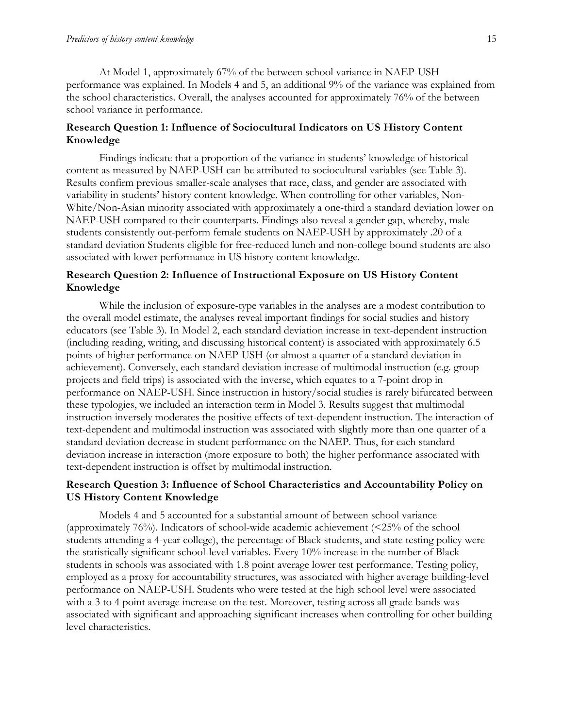At Model 1, approximately 67% of the between school variance in NAEP-USH performance was explained. In Models 4 and 5, an additional 9% of the variance was explained from the school characteristics. Overall, the analyses accounted for approximately 76% of the between school variance in performance.

#### **Research Question 1: Influence of Sociocultural Indicators on US History Content Knowledge**

Findings indicate that a proportion of the variance in students' knowledge of historical content as measured by NAEP-USH can be attributed to sociocultural variables (see Table 3). Results confirm previous smaller-scale analyses that race, class, and gender are associated with variability in students' history content knowledge. When controlling for other variables, Non-White/Non-Asian minority associated with approximately a one-third a standard deviation lower on NAEP-USH compared to their counterparts. Findings also reveal a gender gap, whereby, male students consistently out-perform female students on NAEP-USH by approximately .20 of a standard deviation Students eligible for free-reduced lunch and non-college bound students are also associated with lower performance in US history content knowledge.

#### **Research Question 2: Influence of Instructional Exposure on US History Content Knowledge**

While the inclusion of exposure-type variables in the analyses are a modest contribution to the overall model estimate, the analyses reveal important findings for social studies and history educators (see Table 3). In Model 2, each standard deviation increase in text-dependent instruction (including reading, writing, and discussing historical content) is associated with approximately 6.5 points of higher performance on NAEP-USH (or almost a quarter of a standard deviation in achievement). Conversely, each standard deviation increase of multimodal instruction (e.g. group projects and field trips) is associated with the inverse, which equates to a 7-point drop in performance on NAEP-USH. Since instruction in history/social studies is rarely bifurcated between these typologies, we included an interaction term in Model 3. Results suggest that multimodal instruction inversely moderates the positive effects of text-dependent instruction. The interaction of text-dependent and multimodal instruction was associated with slightly more than one quarter of a standard deviation decrease in student performance on the NAEP. Thus, for each standard deviation increase in interaction (more exposure to both) the higher performance associated with text-dependent instruction is offset by multimodal instruction.

#### **Research Question 3: Influence of School Characteristics and Accountability Policy on US History Content Knowledge**

Models 4 and 5 accounted for a substantial amount of between school variance (approximately 76%). Indicators of school-wide academic achievement (<25% of the school students attending a 4-year college), the percentage of Black students, and state testing policy were the statistically significant school-level variables. Every 10% increase in the number of Black students in schools was associated with 1.8 point average lower test performance. Testing policy, employed as a proxy for accountability structures, was associated with higher average building-level performance on NAEP-USH. Students who were tested at the high school level were associated with a 3 to 4 point average increase on the test. Moreover, testing across all grade bands was associated with significant and approaching significant increases when controlling for other building level characteristics.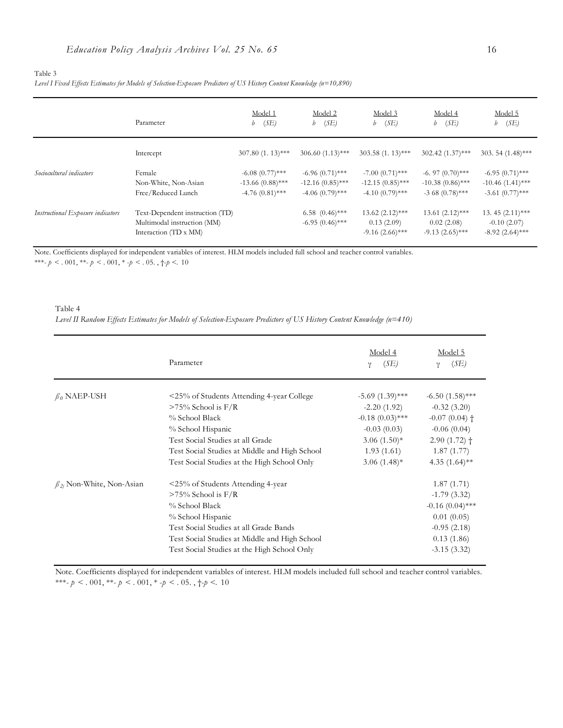#### *Level I Fixed Effects Estimates for Models of Selection-Exposure Predictors of US History Content Knowledge (n=10,890)*

|                                   | Parameter                                                                               | Model 1<br>(SE)<br>b                                         | Model 2<br>$b$ (SE)                                          | Model 3<br>(SE)<br>b                                         | Model 4<br>(SE)<br>b                                        | Model 5<br>(SE)<br>b                                         |
|-----------------------------------|-----------------------------------------------------------------------------------------|--------------------------------------------------------------|--------------------------------------------------------------|--------------------------------------------------------------|-------------------------------------------------------------|--------------------------------------------------------------|
|                                   | Intercept                                                                               | $307.80(1.13)$ ***                                           | $306.60(1.13)$ ***                                           | $303.58(1.13)$ ***                                           | $302.42(1.37)$ ***                                          | 303.54 $(1.48)$ ***                                          |
| Sociocultural indicators          | Female<br>Non-White, Non-Asian<br>Free/Reduced Lunch                                    | $-6.08(0.77)$ ***<br>$-13.66(0.88)$ ***<br>$-4.76(0.81)$ *** | $-6.96(0.71)$ ***<br>$-12.16(0.85)$ ***<br>$-4.06(0.79)$ *** | $-7.00(0.71)$ ***<br>$-12.15(0.85)$ ***<br>$-4.10(0.79)$ *** | $-6.97(0.70)$ ***<br>$-10.38(0.86)$ ***<br>$-368(0.78)$ *** | $-6.95(0.71)$ ***<br>$-10.46(1.41)$ ***<br>$-3.61(0.77)$ *** |
| Instructional Exposure indicators | Text-Dependent instruction (TD)<br>Multimodal instruction (MM)<br>Interaction (TD x MM) |                                                              | $6.58$ $(0.46)$ ***<br>$-6.95(0.46)$ ***                     | $13.62 (2.12)$ ***<br>0.13(2.09)<br>$-9.16(2.66)$ ***        | $13.61 (2.12)$ ***<br>0.02(2.08)<br>$-9.13(2.65)$ ***       | 13.45 (2.11)***<br>$-0.10(2.07)$<br>$-8.92(2.64)$ ***        |

Note. Coefficients displayed for independent variables of interest. HLM models included full school and teacher control variables.

\*\*\*- *p* < . 001, \*\*- *p* < . 001, \* -*p* < . 05. ,  $\dagger$ -*p* <. 10

#### Table 4

*Level II Random Effects Estimates for Models of Selection-Exposure Predictors of US History Content Knowledge (n=410)*

|                                   | Parameter                                     | Model 4<br>(SE)<br>ν | Model 5<br>(SE)<br>ν |
|-----------------------------------|-----------------------------------------------|----------------------|----------------------|
| $\beta_0$ NAEP-USH                | <25% of Students Attending 4-year College     | $-5.69(1.39)$ ***    | $-6.50(1.58)$ ***    |
|                                   | $>75\%$ School is F/R                         | $-2.20(1.92)$        | $-0.32(3.20)$        |
|                                   | % School Black                                | $-0.18(0.03)$ ***    | $-0.07(0.04)$ †      |
|                                   | % School Hispanic                             | $-0.03(0.03)$        | $-0.06(0.04)$        |
|                                   | Test Social Studies at all Grade              | $3.06(1.50)*$        | $2.90(1.72)$ +       |
|                                   | Test Social Studies at Middle and High School | 1.93(1.61)           | 1.87(1.77)           |
|                                   | Test Social Studies at the High School Only   | $3.06(1.48)$ *       | 4.35 $(1.64)$ **     |
| $\beta_{2i}$ Non-White, Non-Asian | <25% of Students Attending 4-year             |                      | 1.87(1.71)           |
|                                   | $>75\%$ School is F/R                         |                      | $-1.79(3.32)$        |
|                                   | % School Black                                |                      | $-0.16(0.04)$ ***    |
|                                   | % School Hispanic                             |                      | 0.01(0.05)           |
|                                   | Test Social Studies at all Grade Bands        |                      | $-0.95(2.18)$        |
|                                   | Test Social Studies at Middle and High School |                      | 0.13(1.86)           |
|                                   | Test Social Studies at the High School Only   |                      | $-3.15(3.32)$        |

Note. Coefficients displayed for independent variables of interest. HLM models included full school and teacher control variables.  $***-p<.001,***-p<.001,*-p<.05.$  ,  $\dag p<.10$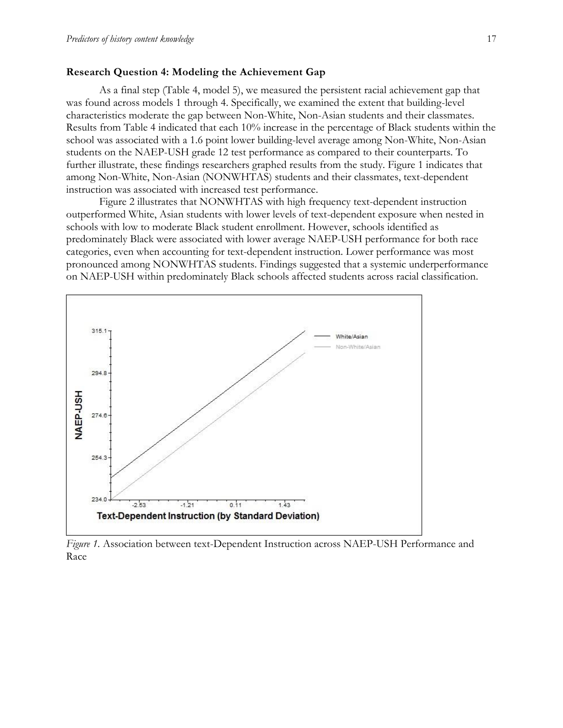#### **Research Question 4: Modeling the Achievement Gap**

As a final step (Table 4, model 5), we measured the persistent racial achievement gap that was found across models 1 through 4. Specifically, we examined the extent that building-level characteristics moderate the gap between Non-White, Non-Asian students and their classmates. Results from Table 4 indicated that each 10% increase in the percentage of Black students within the school was associated with a 1.6 point lower building-level average among Non-White, Non-Asian students on the NAEP-USH grade 12 test performance as compared to their counterparts. To further illustrate, these findings researchers graphed results from the study. Figure 1 indicates that among Non-White, Non-Asian (NONWHTAS) students and their classmates, text-dependent instruction was associated with increased test performance.

Figure 2 illustrates that NONWHTAS with high frequency text-dependent instruction outperformed White, Asian students with lower levels of text-dependent exposure when nested in schools with low to moderate Black student enrollment. However, schools identified as predominately Black were associated with lower average NAEP-USH performance for both race categories, even when accounting for text-dependent instruction. Lower performance was most pronounced among NONWHTAS students. Findings suggested that a systemic underperformance on NAEP-USH within predominately Black schools affected students across racial classification.



*Figure 1.* Association between text-Dependent Instruction across NAEP-USH Performance and Race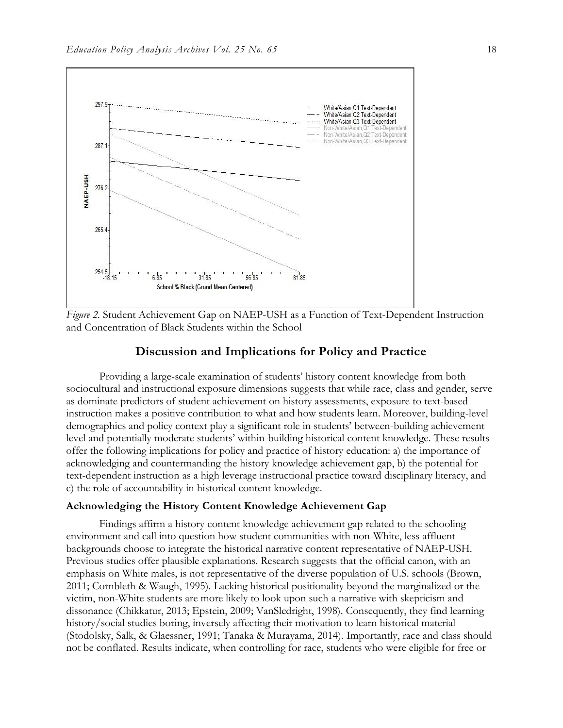

*Figure 2.* Student Achievement Gap on NAEP-USH as a Function of Text-Dependent Instruction and Concentration of Black Students within the School

#### **Discussion and Implications for Policy and Practice**

Providing a large-scale examination of students' history content knowledge from both sociocultural and instructional exposure dimensions suggests that while race, class and gender, serve as dominate predictors of student achievement on history assessments, exposure to text-based instruction makes a positive contribution to what and how students learn. Moreover, building-level demographics and policy context play a significant role in students' between-building achievement level and potentially moderate students' within-building historical content knowledge. These results offer the following implications for policy and practice of history education: a) the importance of acknowledging and countermanding the history knowledge achievement gap, b) the potential for text-dependent instruction as a high leverage instructional practice toward disciplinary literacy, and c) the role of accountability in historical content knowledge.

#### **Acknowledging the History Content Knowledge Achievement Gap**

Findings affirm a history content knowledge achievement gap related to the schooling environment and call into question how student communities with non-White, less affluent backgrounds choose to integrate the historical narrative content representative of NAEP-USH. Previous studies offer plausible explanations. Research suggests that the official canon, with an emphasis on White males, is not representative of the diverse population of U.S. schools (Brown, 2011; Cornbleth & Waugh, 1995). Lacking historical positionality beyond the marginalized or the victim, non-White students are more likely to look upon such a narrative with skepticism and dissonance (Chikkatur, 2013; Epstein, 2009; VanSledright, 1998). Consequently, they find learning history/social studies boring, inversely affecting their motivation to learn historical material (Stodolsky, Salk, & Glaessner, 1991; Tanaka & Murayama, 2014). Importantly, race and class should not be conflated. Results indicate, when controlling for race, students who were eligible for free or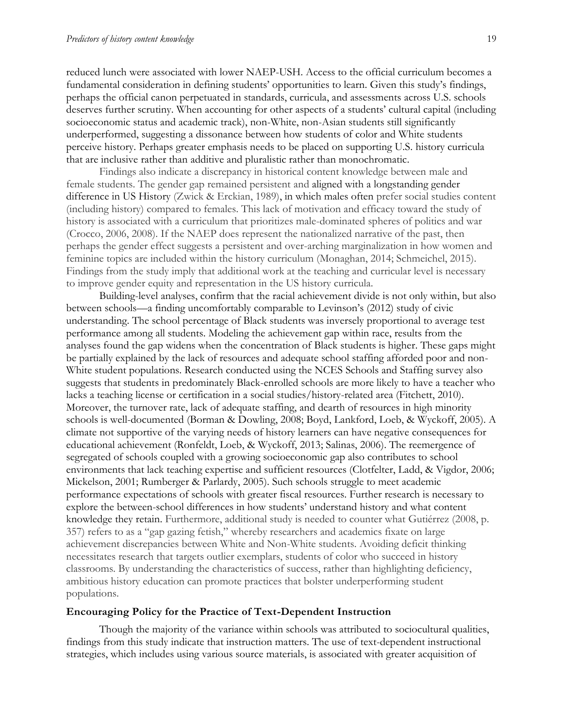reduced lunch were associated with lower NAEP-USH. Access to the official curriculum becomes a fundamental consideration in defining students' opportunities to learn. Given this study's findings, perhaps the official canon perpetuated in standards, curricula, and assessments across U.S. schools deserves further scrutiny. When accounting for other aspects of a students' cultural capital (including socioeconomic status and academic track), non-White, non-Asian students still significantly underperformed, suggesting a dissonance between how students of color and White students perceive history. Perhaps greater emphasis needs to be placed on supporting U.S. history curricula that are inclusive rather than additive and pluralistic rather than monochromatic.

Findings also indicate a discrepancy in historical content knowledge between male and female students. The gender gap remained persistent and aligned with a longstanding gender difference in US History (Zwick & Erckian, 1989), in which males often prefer social studies content (including history) compared to females. This lack of motivation and efficacy toward the study of history is associated with a curriculum that prioritizes male-dominated spheres of politics and war (Crocco, 2006, 2008). If the NAEP does represent the nationalized narrative of the past, then perhaps the gender effect suggests a persistent and over-arching marginalization in how women and feminine topics are included within the history curriculum (Monaghan, 2014; Schmeichel, 2015). Findings from the study imply that additional work at the teaching and curricular level is necessary to improve gender equity and representation in the US history curricula.

Building-level analyses, confirm that the racial achievement divide is not only within, but also between schools—a finding uncomfortably comparable to Levinson's (2012) study of civic understanding. The school percentage of Black students was inversely proportional to average test performance among all students. Modeling the achievement gap within race, results from the analyses found the gap widens when the concentration of Black students is higher. These gaps might be partially explained by the lack of resources and adequate school staffing afforded poor and non-White student populations. Research conducted using the NCES Schools and Staffing survey also suggests that students in predominately Black-enrolled schools are more likely to have a teacher who lacks a teaching license or certification in a social studies/history-related area (Fitchett, 2010). Moreover, the turnover rate, lack of adequate staffing, and dearth of resources in high minority schools is well-documented (Borman & Dowling, 2008; Boyd, Lankford, Loeb, & Wyckoff, 2005). A climate not supportive of the varying needs of history learners can have negative consequences for educational achievement (Ronfeldt, Loeb, & Wyckoff, 2013; Salinas, 2006). The reemergence of segregated of schools coupled with a growing socioeconomic gap also contributes to school environments that lack teaching expertise and sufficient resources (Clotfelter, Ladd, & Vigdor, 2006; Mickelson, 2001; Rumberger & Parlardy, 2005). Such schools struggle to meet academic performance expectations of schools with greater fiscal resources. Further research is necessary to explore the between-school differences in how students' understand history and what content knowledge they retain. Furthermore, additional study is needed to counter what Gutiérrez (2008, p. 357) refers to as a "gap gazing fetish," whereby researchers and academics fixate on large achievement discrepancies between White and Non-White students. Avoiding deficit thinking necessitates research that targets outlier exemplars, students of color who succeed in history classrooms. By understanding the characteristics of success, rather than highlighting deficiency, ambitious history education can promote practices that bolster underperforming student populations.

#### **Encouraging Policy for the Practice of Text-Dependent Instruction**

Though the majority of the variance within schools was attributed to sociocultural qualities, findings from this study indicate that instruction matters. The use of text-dependent instructional strategies, which includes using various source materials, is associated with greater acquisition of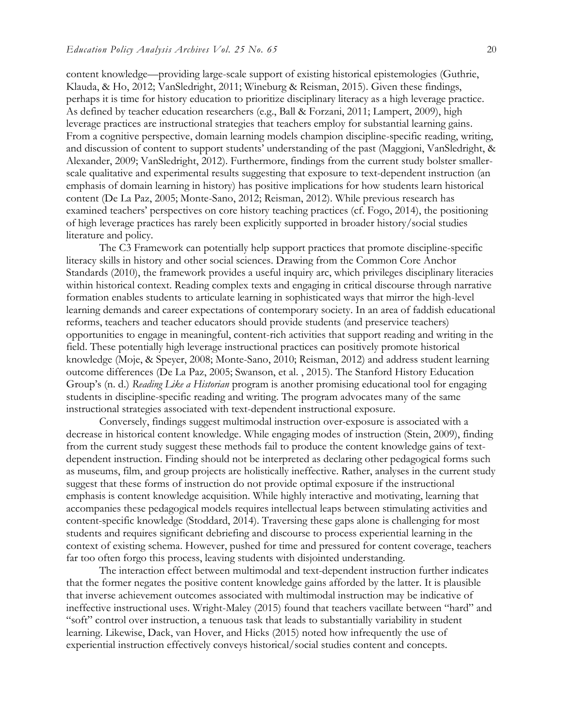content knowledge—providing large-scale support of existing historical epistemologies (Guthrie, Klauda, & Ho, 2012; VanSledright, 2011; Wineburg & Reisman, 2015). Given these findings, perhaps it is time for history education to prioritize disciplinary literacy as a high leverage practice. As defined by teacher education researchers (e.g., Ball & Forzani, 2011; Lampert, 2009), high leverage practices are instructional strategies that teachers employ for substantial learning gains. From a cognitive perspective, domain learning models champion discipline-specific reading, writing, and discussion of content to support students' understanding of the past (Maggioni, VanSledright, & Alexander, 2009; VanSledright, 2012). Furthermore, findings from the current study bolster smallerscale qualitative and experimental results suggesting that exposure to text-dependent instruction (an emphasis of domain learning in history) has positive implications for how students learn historical content (De La Paz, 2005; Monte-Sano, 2012; Reisman, 2012). While previous research has examined teachers' perspectives on core history teaching practices (cf. Fogo, 2014), the positioning of high leverage practices has rarely been explicitly supported in broader history/social studies literature and policy.

The C3 Framework can potentially help support practices that promote discipline-specific literacy skills in history and other social sciences. Drawing from the Common Core Anchor Standards (2010), the framework provides a useful inquiry arc, which privileges disciplinary literacies within historical context. Reading complex texts and engaging in critical discourse through narrative formation enables students to articulate learning in sophisticated ways that mirror the high-level learning demands and career expectations of contemporary society. In an area of faddish educational reforms, teachers and teacher educators should provide students (and preservice teachers) opportunities to engage in meaningful, content-rich activities that support reading and writing in the field. These potentially high leverage instructional practices can positively promote historical knowledge (Moje, & Speyer, 2008; Monte-Sano, 2010; Reisman, 2012) and address student learning outcome differences (De La Paz, 2005; Swanson, et al. , 2015). The Stanford History Education Group's (n. d.) *Reading Like a Historian* program is another promising educational tool for engaging students in discipline-specific reading and writing. The program advocates many of the same instructional strategies associated with text-dependent instructional exposure.

Conversely, findings suggest multimodal instruction over-exposure is associated with a decrease in historical content knowledge. While engaging modes of instruction (Stein, 2009), finding from the current study suggest these methods fail to produce the content knowledge gains of textdependent instruction. Finding should not be interpreted as declaring other pedagogical forms such as museums, film, and group projects are holistically ineffective. Rather, analyses in the current study suggest that these forms of instruction do not provide optimal exposure if the instructional emphasis is content knowledge acquisition. While highly interactive and motivating, learning that accompanies these pedagogical models requires intellectual leaps between stimulating activities and content-specific knowledge (Stoddard, 2014). Traversing these gaps alone is challenging for most students and requires significant debriefing and discourse to process experiential learning in the context of existing schema. However, pushed for time and pressured for content coverage, teachers far too often forgo this process, leaving students with disjointed understanding.

The interaction effect between multimodal and text-dependent instruction further indicates that the former negates the positive content knowledge gains afforded by the latter. It is plausible that inverse achievement outcomes associated with multimodal instruction may be indicative of ineffective instructional uses. Wright-Maley (2015) found that teachers vacillate between "hard" and "soft" control over instruction, a tenuous task that leads to substantially variability in student learning. Likewise, Dack, van Hover, and Hicks (2015) noted how infrequently the use of experiential instruction effectively conveys historical/social studies content and concepts.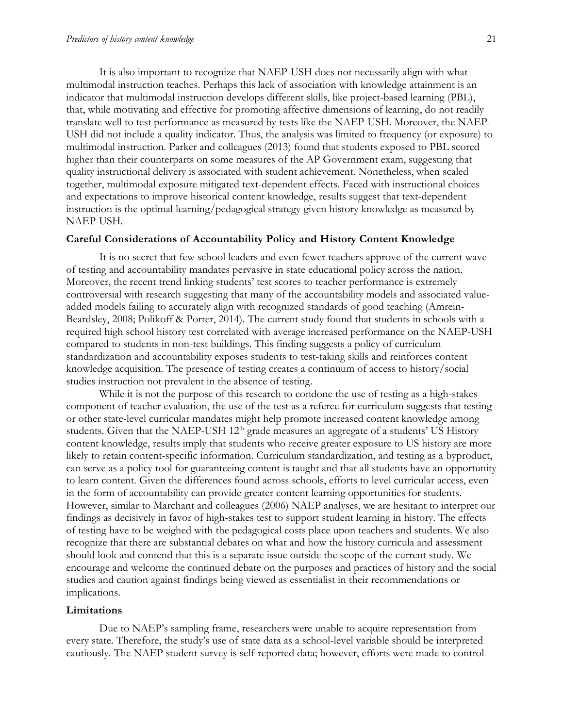It is also important to recognize that NAEP-USH does not necessarily align with what multimodal instruction teaches. Perhaps this lack of association with knowledge attainment is an indicator that multimodal instruction develops different skills, like project-based learning (PBL), that, while motivating and effective for promoting affective dimensions of learning, do not readily translate well to test performance as measured by tests like the NAEP-USH. Moreover, the NAEP-USH did not include a quality indicator. Thus, the analysis was limited to frequency (or exposure) to multimodal instruction. Parker and colleagues (2013) found that students exposed to PBL scored higher than their counterparts on some measures of the AP Government exam, suggesting that quality instructional delivery is associated with student achievement. Nonetheless, when scaled together, multimodal exposure mitigated text-dependent effects. Faced with instructional choices and expectations to improve historical content knowledge, results suggest that text-dependent instruction is the optimal learning/pedagogical strategy given history knowledge as measured by NAEP-USH.

#### **Careful Considerations of Accountability Policy and History Content Knowledge**

It is no secret that few school leaders and even fewer teachers approve of the current wave of testing and accountability mandates pervasive in state educational policy across the nation. Moreover, the recent trend linking students' test scores to teacher performance is extremely controversial with research suggesting that many of the accountability models and associated valueadded models failing to accurately align with recognized standards of good teaching (Amrein-Beardsley, 2008; Polikoff & Porter, 2014). The current study found that students in schools with a required high school history test correlated with average increased performance on the NAEP-USH compared to students in non-test buildings. This finding suggests a policy of curriculum standardization and accountability exposes students to test-taking skills and reinforces content knowledge acquisition. The presence of testing creates a continuum of access to history/social studies instruction not prevalent in the absence of testing.

While it is not the purpose of this research to condone the use of testing as a high-stakes component of teacher evaluation, the use of the test as a referee for curriculum suggests that testing or other state-level curricular mandates might help promote increased content knowledge among students. Given that the NAEP-USH 12<sup>th</sup> grade measures an aggregate of a students' US History content knowledge, results imply that students who receive greater exposure to US history are more likely to retain content-specific information. Curriculum standardization, and testing as a byproduct, can serve as a policy tool for guaranteeing content is taught and that all students have an opportunity to learn content. Given the differences found across schools, efforts to level curricular access, even in the form of accountability can provide greater content learning opportunities for students. However, similar to Marchant and colleagues (2006) NAEP analyses, we are hesitant to interpret our findings as decisively in favor of high-stakes test to support student learning in history. The effects of testing have to be weighed with the pedagogical costs place upon teachers and students. We also recognize that there are substantial debates on what and how the history curricula and assessment should look and contend that this is a separate issue outside the scope of the current study. We encourage and welcome the continued debate on the purposes and practices of history and the social studies and caution against findings being viewed as essentialist in their recommendations or implications.

#### **Limitations**

Due to NAEP's sampling frame, researchers were unable to acquire representation from every state. Therefore, the study's use of state data as a school-level variable should be interpreted cautiously. The NAEP student survey is self-reported data; however, efforts were made to control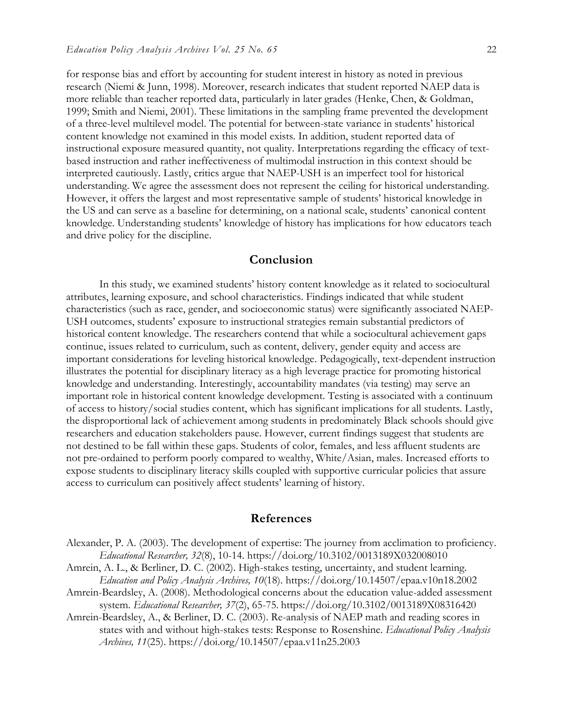for response bias and effort by accounting for student interest in history as noted in previous research (Niemi & Junn, 1998). Moreover, research indicates that student reported NAEP data is more reliable than teacher reported data, particularly in later grades (Henke, Chen, & Goldman, 1999; Smith and Niemi, 2001). These limitations in the sampling frame prevented the development of a three-level multilevel model. The potential for between-state variance in students' historical content knowledge not examined in this model exists. In addition, student reported data of instructional exposure measured quantity, not quality. Interpretations regarding the efficacy of textbased instruction and rather ineffectiveness of multimodal instruction in this context should be interpreted cautiously. Lastly, critics argue that NAEP-USH is an imperfect tool for historical understanding. We agree the assessment does not represent the ceiling for historical understanding. However, it offers the largest and most representative sample of students' historical knowledge in the US and can serve as a baseline for determining, on a national scale, students' canonical content knowledge. Understanding students' knowledge of history has implications for how educators teach and drive policy for the discipline.

### **Conclusion**

In this study, we examined students' history content knowledge as it related to sociocultural attributes, learning exposure, and school characteristics. Findings indicated that while student characteristics (such as race, gender, and socioeconomic status) were significantly associated NAEP-USH outcomes, students' exposure to instructional strategies remain substantial predictors of historical content knowledge. The researchers contend that while a sociocultural achievement gaps continue, issues related to curriculum, such as content, delivery, gender equity and access are important considerations for leveling historical knowledge. Pedagogically, text-dependent instruction illustrates the potential for disciplinary literacy as a high leverage practice for promoting historical knowledge and understanding. Interestingly, accountability mandates (via testing) may serve an important role in historical content knowledge development. Testing is associated with a continuum of access to history/social studies content, which has significant implications for all students. Lastly, the disproportional lack of achievement among students in predominately Black schools should give researchers and education stakeholders pause. However, current findings suggest that students are not destined to be fall within these gaps. Students of color, females, and less affluent students are not pre-ordained to perform poorly compared to wealthy, White/Asian, males. Increased efforts to expose students to disciplinary literacy skills coupled with supportive curricular policies that assure access to curriculum can positively affect students' learning of history.

#### **References**

- Alexander, P. A. (2003). The development of expertise: The journey from acclimation to proficiency. *Educational Researcher, 32*(8), 10-14. https://doi.org/10.3102/0013189X032008010
- Amrein, A. L., & Berliner, D. C. (2002). High-stakes testing, uncertainty, and student learning. *Education and Policy Analysis Archives, 10*(18). https://doi.org/10.14507/epaa.v10n18.2002
- Amrein-Beardsley, A. (2008). Methodological concerns about the education value-added assessment system. *Educational Researcher, 37*(2), 65-75. https://doi.org/10.3102/0013189X08316420
- Amrein-Beardsley, A., & Berliner, D. C. (2003). Re-analysis of NAEP math and reading scores in states with and without high-stakes tests: Response to Rosenshine. *Educational Policy Analysis Archives, 11*(25). https://doi.org/10.14507/epaa.v11n25.2003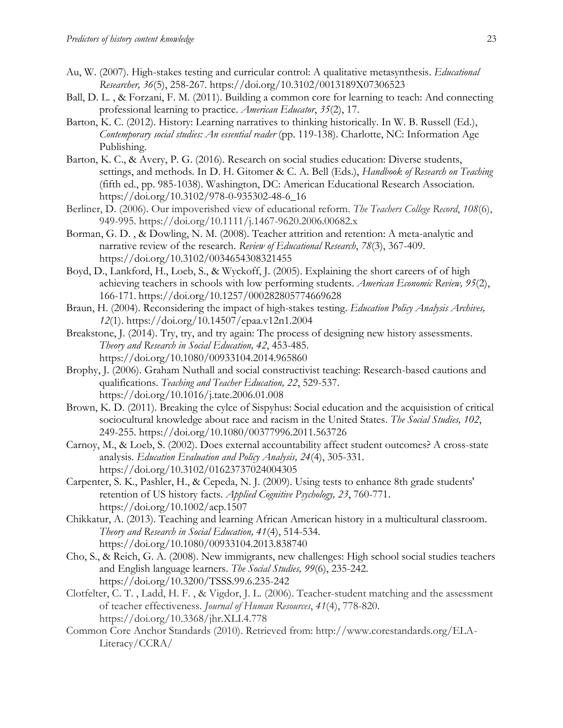- Au, W. (2007). High-stakes testing and curricular control: A qualitative metasynthesis. *Educational Researcher, 36*(5), 258-267. https://doi.org/10.3102/0013189X07306523
- Ball, D. L. , & Forzani, F. M. (2011). Building a common core for learning to teach: And connecting professional learning to practice. *American Educator*, *35*(2), 17.
- Barton, K. C. (2012). History: Learning narratives to thinking historically. In W. B. Russell (Ed.), *Contemporary social studies: An essential reader* (pp. 119-138). Charlotte, NC: Information Age Publishing.
- Barton, K. C., & Avery, P. G. (2016). Research on social studies education: Diverse students, settings, and methods. In D. H. Gitomer & C. A. Bell (Eds.), *Handbook of Research on Teaching* (fifth ed., pp. 985-1038). Washington, DC: American Educational Research Association. https://doi.org/10.3102/978-0-935302-48-6\_16
- Berliner, D. (2006). Our impoverished view of educational reform. *The Teachers College Record*, *108*(6), 949-995. https://doi.org/10.1111/j.1467-9620.2006.00682.x
- Borman, G. D. , & Dowling, N. M. (2008). Teacher attrition and retention: A meta-analytic and narrative review of the research. *Review of Educational Research*, *78*(3), 367-409. https://doi.org/10.3102/0034654308321455
- Boyd, D., Lankford, H., Loeb, S., & Wyckoff, J. (2005). Explaining the short careers of of high achieving teachers in schools with low performing students. *American Economic Review, 95*(2), 166-171. https://doi.org/10.1257/000282805774669628
- Braun, H. (2004). Reconsidering the impact of high-stakes testing. *Education Policy Analysis Archives, 12*(1). https://doi.org/10.14507/epaa.v12n1.2004
- Breakstone, J. (2014). Try, try, and try again: The process of designing new history assessments. *Theory and Research in Social Education, 42*, 453-485. https://doi.org/10.1080/00933104.2014.965860
- Brophy, J. (2006). Graham Nuthall and social constructivist teaching: Research-based cautions and qualifications. *Teaching and Teacher Education, 22*, 529-537. https://doi.org/10.1016/j.tate.2006.01.008
- Brown, K. D. (2011). Breaking the cylce of Sispyhus: Social education and the acquisistion of critical sociocultural knowledge about race and racism in the United States. *The Social Studies, 102*, 249-255. https://doi.org/10.1080/00377996.2011.563726
- Carnoy, M., & Loeb, S. (2002). Does external accountability affect student outcomes? A cross-state analysis. *Education Evaluation and Policy Analysis, 24*(4), 305-331. https://doi.org/10.3102/01623737024004305
- Carpenter, S. K., Pashler, H., & Cepeda, N. J. (2009). Using tests to enhance 8th grade students' retention of US history facts. *Applied Cognitive Psychology, 23*, 760-771. https://doi.org/10.1002/acp.1507
- Chikkatur, A. (2013). Teaching and learning African American history in a multicultural classroom. *Theory and Research in Social Education, 41*(4), 514-534. https://doi.org/10.1080/00933104.2013.838740
- Cho, S., & Reich, G. A. (2008). New immigrants, new challenges: High school social studies teachers and English language learners. *The Social Studies, 99*(6), 235-242. https://doi.org/10.3200/TSSS.99.6.235-242
- Clotfelter, C. T. , Ladd, H. F. , & Vigdor, J. L. (2006). Teacher-student matching and the assessment of teacher effectiveness. *Journal of Human Resources*, *41*(4), 778-820. https://doi.org/10.3368/jhr.XLI.4.778
- Common Core Anchor Standards (2010). Retrieved from: http://www.corestandards.org/ELA-Literacy/CCRA/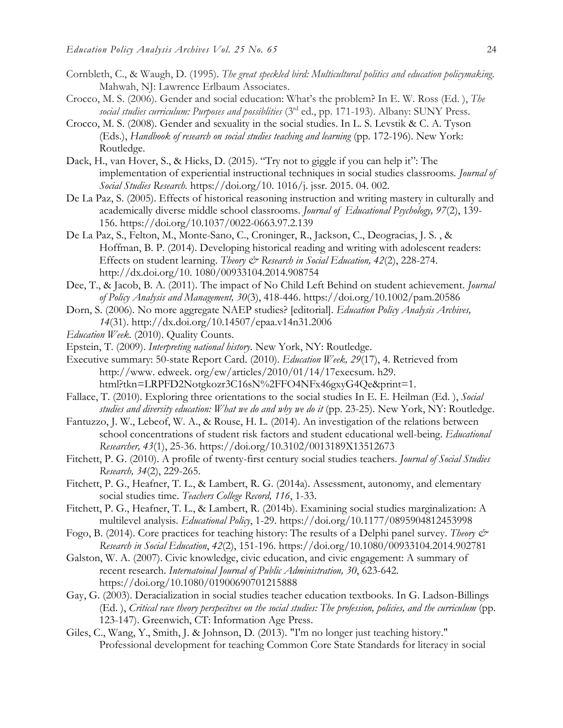- Cornbleth, C., & Waugh, D. (1995). *The great speckled bird: Multicultural politics and education policymaking*. Mahwah, NJ: Lawrence Erlbaum Associates.
- Crocco, M. S. (2006). Gender and social education: What's the problem? In E. W. Ross (Ed. ), *The social studies curriculum: Purposes and possiblities* (3rd ed., pp. 171-193). Albany: SUNY Press.
- Crocco, M. S. (2008). Gender and sexuality in the social studies. In L. S. Levstik & C. A. Tyson (Eds.), *Handbook of research on social studies teaching and learning* (pp. 172-196). New York: Routledge.
- Dack, H., van Hover, S., & Hicks, D. (2015). "Try not to giggle if you can help it": The implementation of experiential instructional techniques in social studies classrooms*. Journal of Social Studies Research.* https://doi.org/10. 1016/j. jssr. 2015. 04. 002.
- De La Paz, S. (2005). Effects of historical reasoning instruction and writing mastery in culturally and academically diverse middle school classrooms. *Journal of Educational Psychology, 97*(2), 139- 156. https://doi.org/10.1037/0022-0663.97.2.139
- De La Paz, S., Felton, M., Monte-Sano, C., Croninger, R., Jackson, C., Deogracias, J. S. , & Hoffman, B. P. (2014). Developing historical reading and writing with adolescent readers: Effects on student learning. *Theory & Research in Social Education*, 42(2), 228-274. http://dx.doi.org/10. 1080/00933104.2014.908754
- Dee, T., & Jacob, B. A. (2011). The impact of No Child Left Behind on student achievement. *Journal of Policy Analysis and Management, 30*(3), 418-446. https://doi.org/10.1002/pam.20586
- Dorn, S. (2006). No more aggregate NAEP studies? [editorial]. *Education Policy Analysis Archives, 14*(31). http://dx.doi.org/10.14507/epaa.v14n31.2006
- *Education Week*. (2010). Quality Counts.
- Epstein, T. (2009). *Interpreting national history*. New York, NY: Routledge.
- Executive summary: 50-state Report Card. (2010). *Education Week, 29*(17), 4. Retrieved from http://www. edweek. org/ew/articles/2010/01/14/17execsum. h29. html?tkn=LRPFD2Notgkozr3C16sN%2FFO4NFx46gxyG4Qe&print=1.
- Fallace, T. (2010). Exploring three orientations to the social studies In E. E. Heilman (Ed. ), *Social studies and diversity education: What we do and why we do it* (pp. 23-25). New York, NY: Routledge.
- Fantuzzo, J. W., Lebeof, W. A., & Rouse, H. L. (2014). An investigation of the relations between school concentrations of student risk factors and student educational well-being. *Educational Researcher, 43*(1), 25-36. https://doi.org/10.3102/0013189X13512673
- Fitchett, P. G. (2010). A profile of twenty-first century social studies teachers. *Journal of Social Studies Research, 34*(2), 229-265.
- Fitchett, P. G., Heafner, T. L., & Lambert, R. G. (2014a). Assessment, autonomy, and elementary social studies time. *Teachers College Record, 116*, 1-33.
- Fitchett, P. G., Heafner, T. L., & Lambert, R. (2014b). Examining social studies marginalization: A multilevel analysis. *Educational Policy*, 1-29. https://doi.org/10.1177/0895904812453998
- Fogo, B. (2014). Core practices for teaching history: The results of a Delphi panel survey. *Theory & Research in Social Education*, *42*(2), 151-196. https://doi.org/10.1080/00933104.2014.902781
- Galston, W. A. (2007). Civic knowledge, civic education, and civic engagement: A summary of recent research. *Internatoinal Journal of Public Administration, 30*, 623-642. https://doi.org/10.1080/01900690701215888
- Gay, G. (2003). Deracialization in social studies teacher education textbooks. In G. Ladson-Billings (Ed. ), *Critical race theory perspecitves on the social studies: The profession, policies, and the curriculum* (pp. 123-147). Greenwich, CT: Information Age Press.
- Giles, C., Wang, Y., Smith, J. & Johnson, D. (2013). "I'm no longer just teaching history." Professional development for teaching Common Core State Standards for literacy in social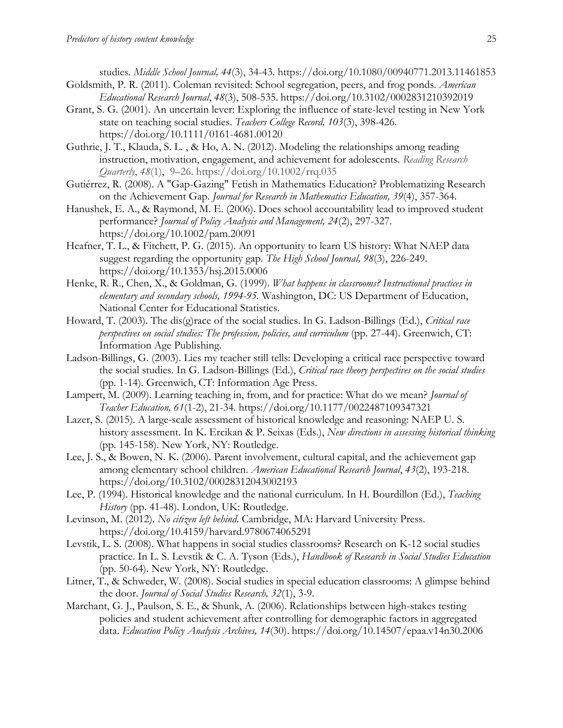studies*. Middle School Journal, 44*(3), 34-43. https://doi.org/10.1080/00940771.2013.11461853 Goldsmith, P. R. (2011). Coleman revisited: School segregation, peers, and frog ponds. *American* 

- *Educational Research Journal*, *48*(3), 508-535. https://doi.org/10.3102/0002831210392019
- Grant, S. G. (2001). An uncertain lever: Exploring the influence of state-level testing in New York state on teaching social studies. *Teachers College Record, 103*(3), 398-426. https://doi.org/10.1111/0161-4681.00120
- Guthrie, J. T., Klauda, S. L. , & Ho, A. N. (2012). Modeling the relationships among reading instruction, motivation, engagement, and achievement for adolescents. *Reading Research Quarterly*, *48*(1), 9–26. https://doi.org/10.1002/rrq.035
- Gutiérrez, R. (2008). A "Gap-Gazing" Fetish in Mathematics Education? Problematizing Research on the Achievement Gap. *Journal for Research in Mathematics Education, 39*(4), 357-364.
- Hanushek, E. A., & Raymond, M. E. (2006). Does school accountability lead to improved student performance? *Journal of Policy Analysis and Management, 24*(2), 297-327. https://doi.org/10.1002/pam.20091
- Heafner, T. L., & Fitchett, P. G. (2015). An opportunity to learn US history: What NAEP data suggest regarding the opportunity gap. *The High School Journal, 98*(3), 226-249. https://doi.org/10.1353/hsj.2015.0006
- Henke, R. R., Chen, X., & Goldman, G. (1999). *What happens in classrooms? Instructional practices in elementary and secondary schools, 1994-95.* Washington, DC: US Department of Education, National Center for Educational Statistics.
- Howard, T. (2003). The dis(g)race of the social studies. In G. Ladson-Billings (Ed.), *Critical race perspectives on social studies: The profession, policies, and curriculum* (pp. 27-44). Greenwich, CT: Information Age Publishing.
- Ladson-Billings, G. (2003). Lies my teacher still tells: Developing a critical race perspective toward the social studies. In G. Ladson-Billings (Ed.), *Critical race theory perspectives on the social studies*  (pp. 1-14). Greenwich, CT: Information Age Press.
- Lampert, M. (2009). Learning teaching in, from, and for practice: What do we mean? *Journal of Teacher Education, 61*(1-2), 21-34. https://doi.org/10.1177/0022487109347321
- Lazer, S. (2015). A large-scale assessment of historical knowledge and reasoning: NAEP U. S. history assessment. In K. Ercikan & P. Seixas (Eds.), *New directions in assessing historical thinking* (pp. 145-158). New York, NY: Routledge.
- Lee, J. S., & Bowen, N. K. (2006). Parent involvement, cultural capital, and the achievement gap among elementary school children. *American Educational Research Journal*, *43*(2), 193-218. https://doi.org/10.3102/00028312043002193
- Lee, P. (1994). Historical knowledge and the national curriculum. In H. Bourdillon (Ed.), *Teaching History* (pp. 41-48). London, UK: Routledge.
- Levinson, M. (2012). *No citizen left behind*. Cambridge, MA: Harvard University Press. https://doi.org/10.4159/harvard.9780674065291
- Levstik, L. S. (2008). What happens in social studies classrooms? Research on K-12 social studies practice. In L. S. Levstik & C. A. Tyson (Eds.), *Handbook of Research in Social Studies Education* (pp. 50-64). New York, NY: Routledge.
- Litner, T., & Schweder, W. (2008). Social studies in special education classrooms: A glimpse behind the door. *Journal of Social Studies Research, 32*(1), 3-9.
- Marchant, G. J., Paulson, S. E., & Shunk, A. (2006). Relationships between high-stakes testing policies and student achievement after controlling for demographic factors in aggregated data. *Education Policy Analysis Archives, 14*(30). https://doi.org/10.14507/epaa.v14n30.2006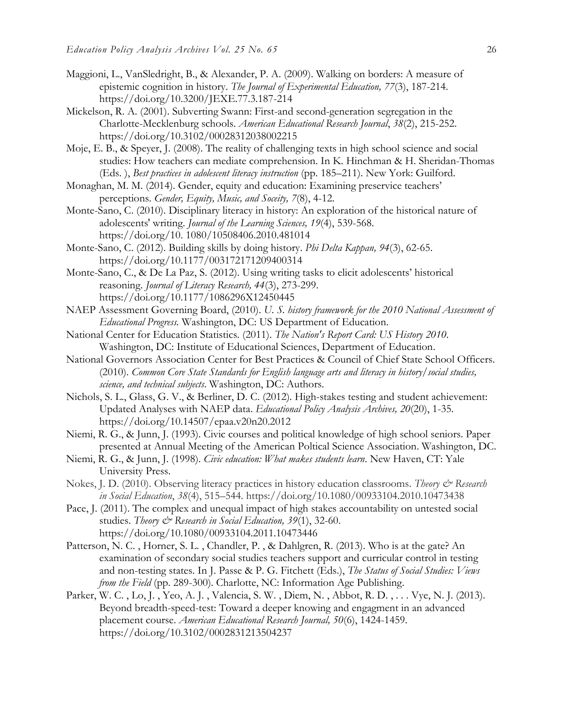- Maggioni, L., VanSledright, B., & Alexander, P. A. (2009). Walking on borders: A measure of epistemic cognition in history. *The Journal of Experimental Education, 77*(3), 187-214. https://doi.org/10.3200/JEXE.77.3.187-214
- Mickelson, R. A. (2001). Subverting Swann: First-and second-generation segregation in the Charlotte-Mecklenburg schools. *American Educational Research Journal*, *38*(2), 215-252. https://doi.org/10.3102/00028312038002215
- Moje, E. B., & Speyer, J. (2008). The reality of challenging texts in high school science and social studies: How teachers can mediate comprehension. In K. Hinchman & H. Sheridan-Thomas (Eds. ), *Best practices in adolescent literacy instruction* (pp. 185–211). New York: Guilford.
- Monaghan, M. M. (2014). Gender, equity and education: Examining preservice teachers' perceptions. *Gender, Equity, Music, and Soceity, 7*(8), 4-12.
- Monte-Sano, C. (2010). Disciplinary literacy in history: An exploration of the historical nature of adolescents' writing. *Journal of the Learning Sciences, 19*(4), 539-568. https://doi.org/10. 1080/10508406.2010.481014
- Monte-Sano, C. (2012). Building skills by doing history. *Phi Delta Kappan, 94*(3), 62-65. https://doi.org/10.1177/003172171209400314
- Monte-Sano, C., & De La Paz, S. (2012). Using writing tasks to elicit adolescents' historical reasoning. *Journal of Literacy Research, 44*(3), 273-299. https://doi.org/10.1177/1086296X12450445
- NAEP Assessment Governing Board, (2010). *U. S. history framework for the 2010 National Assessment of Educational Progress.* Washington, DC: US Department of Education.
- National Center for Education Statistics. (2011). *The Nation's Report Card: US History 2010*. Washington, DC: Institute of Educational Sciences, Department of Education.
- National Governors Association Center for Best Practices & Council of Chief State School Officers. (2010). *Common Core State Standards for English language arts and literacy in history/social studies, science, and technical subjects*. Washington, DC: Authors.
- Nichols, S. L., Glass, G. V., & Berliner, D. C. (2012). High-stakes testing and student achievement: Updated Analyses with NAEP data. *Educational Policy Analysis Archives, 20*(20), 1-35. https://doi.org/10.14507/epaa.v20n20.2012
- Niemi, R. G., & Junn, J. (1993). Civic courses and political knowledge of high school seniors. Paper presented at Annual Meeting of the American Poltical Science Association. Washington, DC.
- Niemi, R. G., & Junn, J. (1998). *Civic education: What makes students learn*. New Haven, CT: Yale University Press.
- Nokes, J. D. (2010). Observing literacy practices in history education classrooms. *Theory & Research in Social Education*, *38*(4), 515–544. https://doi.org/10.1080/00933104.2010.10473438
- Pace, J. (2011). The complex and unequal impact of high stakes accountability on untested social studies. *Theory & Research in Social Education, 39*(1), 32-60. https://doi.org/10.1080/00933104.2011.10473446
- Patterson, N. C. , Horner, S. L. , Chandler, P. , & Dahlgren, R. (2013). Who is at the gate? An examination of secondary social studies teachers support and curricular control in testing and non-testing states. In J. Passe & P. G. Fitchett (Eds.), *The Status of Social Studies: Views from the Field* (pp. 289-300). Charlotte, NC: Information Age Publishing.
- Parker, W. C. , Lo, J. , Yeo, A. J. , Valencia, S. W. , Diem, N. , Abbot, R. D. , . . . Vye, N. J. (2013). Beyond breadth-speed-test: Toward a deeper knowing and engagment in an advanced placement course. *American Educational Research Journal, 50*(6), 1424-1459. https://doi.org/10.3102/0002831213504237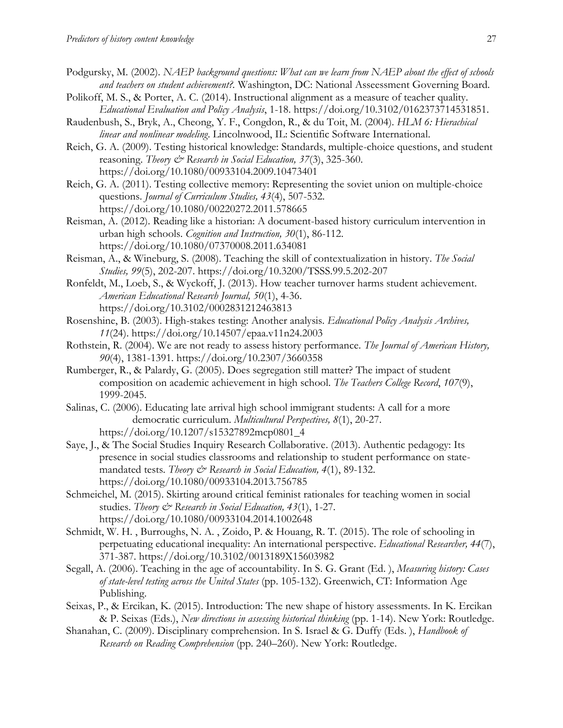- Podgursky, M. (2002). *NAEP background questions: What can we learn from NAEP about the effect of schools and teachers on student achievement?.* Washington, DC: National Asseessment Governing Board.
- Polikoff, M. S., & Porter, A. C. (2014). Instructional alignment as a measure of teacher quality. *Educational Evaluation and Policy Analysis*, 1-18. https://doi.org/10.3102/0162373714531851.
- Raudenbush, S., Bryk, A., Cheong, Y. F., Congdon, R., & du Toit, M. (2004). *HLM 6: Hierachical linear and nonlinear modeling*. Lincolnwood, IL: Scientific Software International.
- Reich, G. A. (2009). Testing historical knowledge: Standards, multiple-choice questions, and student reasoning. *Theory & Research in Social Education*, 37(3), 325-360. https://doi.org/10.1080/00933104.2009.10473401
- Reich, G. A. (2011). Testing collective memory: Representing the soviet union on multiple-choice questions. *Journal of Curriculum Studies, 43*(4), 507-532. https://doi.org/10.1080/00220272.2011.578665
- Reisman, A. (2012). Reading like a historian: A document-based history curriculum intervention in urban high schools. *Cognition and Instruction, 30*(1), 86-112. https://doi.org/10.1080/07370008.2011.634081
- Reisman, A., & Wineburg, S. (2008). Teaching the skill of contextualization in history. *The Social Studies, 99*(5), 202-207. https://doi.org/10.3200/TSSS.99.5.202-207
- Ronfeldt, M., Loeb, S., & Wyckoff, J. (2013). How teacher turnover harms student achievement. *American Educational Research Journal, 50*(1), 4-36. https://doi.org/10.3102/0002831212463813
- Rosenshine, B. (2003). High-stakes testing: Another analysis. *Educational Policy Analysis Archives, 11*(24). https://doi.org/10.14507/epaa.v11n24.2003
- Rothstein, R. (2004). We are not ready to assess history performance. *The Journal of American History, 90*(4), 1381-1391. https://doi.org/10.2307/3660358
- Rumberger, R., & Palardy, G. (2005). Does segregation still matter? The impact of student composition on academic achievement in high school. *The Teachers College Record*, *107*(9), 1999-2045.
- Salinas, C. (2006). Educating late arrival high school immigrant students: A call for a more democratic curriculum. *Multicultural Perspectives, 8*(1), 20-27. https://doi.org/10.1207/s15327892mcp0801\_4
- Saye, J., & The Social Studies Inquiry Research Collaborative. (2013). Authentic pedagogy: Its presence in social studies classrooms and relationship to student performance on statemandated tests. *Theory & Research in Social Education, 4*(1), 89-132. https://doi.org/10.1080/00933104.2013.756785
- Schmeichel, M. (2015). Skirting around critical feminist rationales for teaching women in social studies. *Theory & Research in Social Education, 43*(1), 1-27. https://doi.org/10.1080/00933104.2014.1002648
- Schmidt, W. H. , Burroughs, N. A. , Zoido, P. & Houang, R. T. (2015). The role of schooling in perpetuating educational inequality: An international perspective. *Educational Researcher, 44*(7), 371-387. https://doi.org/10.3102/0013189X15603982
- Segall, A. (2006). Teaching in the age of accountability. In S. G. Grant (Ed. ), *Measuring history: Cases of state-level testing across the United States* (pp. 105-132). Greenwich, CT: Information Age Publishing.
- Seixas, P., & Ercikan, K. (2015). Introduction: The new shape of history assessments. In K. Ercikan & P. Seixas (Eds.), *New directions in assessing historical thinking* (pp. 1-14). New York: Routledge.
- Shanahan, C. (2009). Disciplinary comprehension. In S. Israel & G. Duffy (Eds. ), *Handbook of Research on Reading Comprehension* (pp. 240–260). New York: Routledge.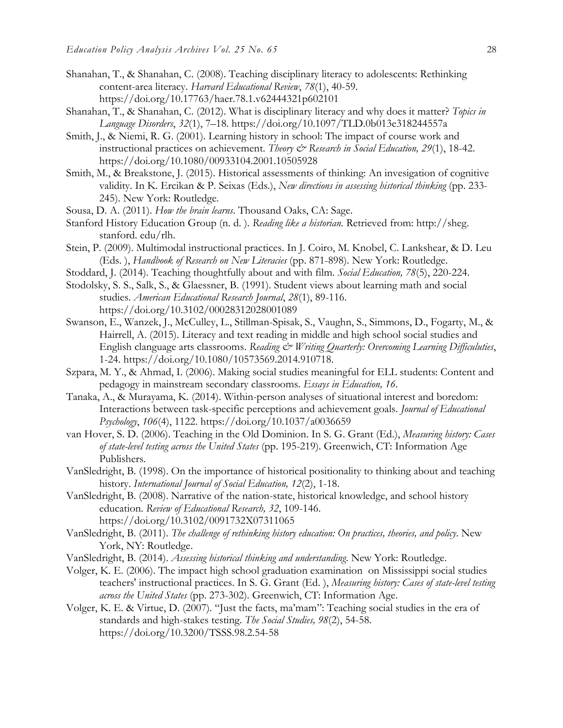- Shanahan, T., & Shanahan, C. (2008). Teaching disciplinary literacy to adolescents: Rethinking content-area literacy. *Harvard Educational Review*, *78*(1), 40-59. https://doi.org/10.17763/haer.78.1.v62444321p602101
- Shanahan, T., & Shanahan, C. (2012). What is disciplinary literacy and why does it matter? *Topics in Language Disorders*, *32*(1), 7–18. https://doi.org/10.1097/TLD.0b013e318244557a
- Smith, J., & Niemi, R. G. (2001). Learning history in school: The impact of course work and instructional practices on achievement. *Theory & Research in Social Education, 29*(1), 18-42. https://doi.org/10.1080/00933104.2001.10505928
- Smith, M., & Breakstone, J. (2015). Historical assessments of thinking: An invesigation of cognitive validity. In K. Ercikan & P. Seixas (Eds.), *New directions in assessing historical thinking* (pp. 233- 245). New York: Routledge.
- Sousa, D. A. (2011). *How the brain learns*. Thousand Oaks, CA: Sage.
- Stanford History Education Group (n. d. ). *Reading like a historian.* Retrieved from: http://sheg. stanford. edu/rlh.
- Stein, P. (2009). Multimodal instructional practices. In J. Coiro, M. Knobel, C. Lankshear, & D. Leu (Eds. ), *Handbook of Research on New Literacies* (pp. 871-898). New York: Routledge.
- Stoddard, J. (2014). Teaching thoughtfully about and with film. *Social Education, 78*(5), 220-224.
- Stodolsky, S. S., Salk, S., & Glaessner, B. (1991). Student views about learning math and social studies. *American Educational Research Journal*, *28*(1), 89-116. https://doi.org/10.3102/00028312028001089
- Swanson, E., Wanzek, J., McCulley, L., Stillman-Spisak, S., Vaughn, S., Simmons, D., Fogarty, M., & Hairrell, A. (2015). Literacy and text reading in middle and high school social studies and English clanguage arts classrooms. Reading & Writing Quarterly: Overcoming Learning Difficuluties, 1-24. https://doi.org/10.1080/10573569.2014.910718.
- Szpara, M. Y., & Ahmad, I. (2006). Making social studies meaningful for ELL students: Content and pedagogy in mainstream secondary classrooms. *Essays in Education, 16*.
- Tanaka, A., & Murayama, K. (2014). Within-person analyses of situational interest and boredom: Interactions between task-specific perceptions and achievement goals. *Journal of Educational Psychology*, *106*(4), 1122. https://doi.org/10.1037/a0036659
- van Hover, S. D. (2006). Teaching in the Old Dominion. In S. G. Grant (Ed.), *Measuring history: Cases of state-level testing across the United States* (pp. 195-219). Greenwich, CT: Information Age Publishers.
- VanSledright, B. (1998). On the importance of historical positionality to thinking about and teaching history. *International Journal of Social Education, 12*(2), 1-18.
- VanSledright, B. (2008). Narrative of the nation-state, historical knowledge, and school history education. *Review of Educational Research, 32*, 109-146. https://doi.org/10.3102/0091732X07311065
- VanSledright, B. (2011). *The challenge of rethinking history education: On practices, theories, and policy*. New York, NY: Routledge.
- VanSledright, B. (2014). *Assessing historical thinking and understanding*. New York: Routledge.
- Volger, K. E. (2006). The impact high school graduation examination on Mississippi social studies teachers' instructional practices. In S. G. Grant (Ed. ), *Measuring history: Cases of state-level testing across the United States* (pp. 273-302). Greenwich, CT: Information Age.
- Volger, K. E. & Virtue, D. (2007). "Just the facts, ma'mam": Teaching social studies in the era of standards and high-stakes testing. *The Social Studies, 98*(2), 54-58. https://doi.org/10.3200/TSSS.98.2.54-58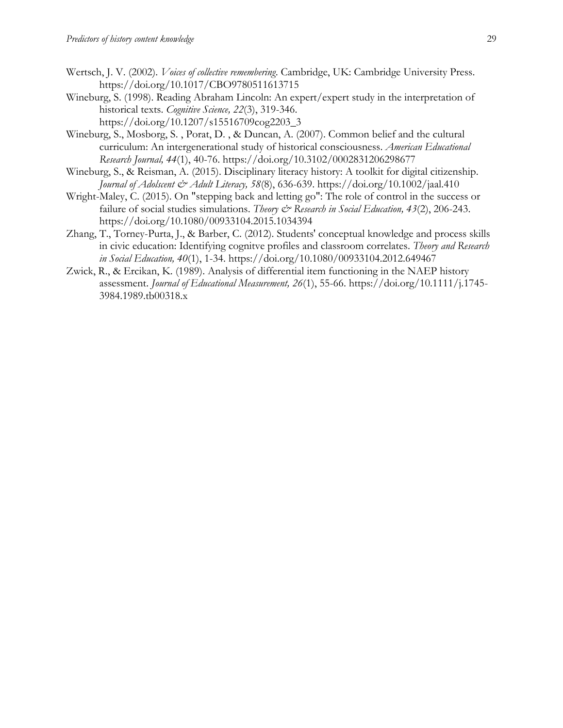- Wertsch, J. V. (2002). *Voices of collective remembering*. Cambridge, UK: Cambridge University Press. https://doi.org/10.1017/CBO9780511613715
- Wineburg, S. (1998). Reading Abraham Lincoln: An expert/expert study in the interpretation of historical texts. *Cognitive Science, 22*(3), 319-346. https://doi.org/10.1207/s15516709cog2203\_3
- Wineburg, S., Mosborg, S. , Porat, D. , & Duncan, A. (2007). Common belief and the cultural curriculum: An intergenerational study of historical consciousness. *American Educational Research Journal, 44*(1), 40-76. https://doi.org/10.3102/0002831206298677
- Wineburg, S., & Reisman, A. (2015). Disciplinary literacy history: A toolkit for digital citizenship. *Journal of Adolscent & Adult Literacy, 58*(8), 636-639. https://doi.org/10.1002/jaal.410
- Wright-Maley, C. (2015). On "stepping back and letting go": The role of control in the success or failure of social studies simulations. *Theory & Research in Social Education*, 43(2), 206-243. https://doi.org/10.1080/00933104.2015.1034394
- Zhang, T., Torney-Purta, J., & Barber, C. (2012). Students' conceptual knowledge and process skills in civic education: Identifying cognitve profiles and classroom correlates. *Theory and Research in Social Education, 40*(1), 1-34. https://doi.org/10.1080/00933104.2012.649467
- Zwick, R., & Ercikan, K. (1989). Analysis of differential item functioning in the NAEP history assessment. *Journal of Educational Measurement, 26*(1), 55-66. https://doi.org/10.1111/j.1745- 3984.1989.tb00318.x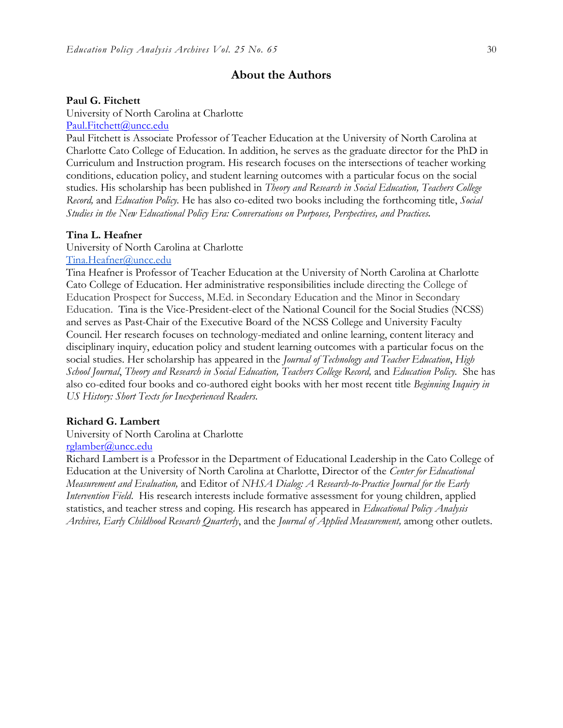#### **About the Authors**

#### **Paul G. Fitchett**

University of North Carolina at Charlotte [Paul.Fitchett@uncc.edu](mailto:Paul.Fitchett@uncc.edu)

Paul Fitchett is Associate Professor of Teacher Education at the University of North Carolina at Charlotte Cato College of Education. In addition, he serves as the graduate director for the PhD in Curriculum and Instruction program. His research focuses on the intersections of teacher working conditions, education policy, and student learning outcomes with a particular focus on the social studies. His scholarship has been published in *Theory and Research in Social Education, Teachers College Record,* and *Education Policy.* He has also co-edited two books including the forthcoming title, *Social Studies in the New Educational Policy Era: Conversations on Purposes, Perspectives, and Practices*.

#### **Tina L. Heafner**

University of North Carolina at Charlotte

#### [Tina.Heafner@uncc.edu](mailto:Tina.Heafner@uncc.edu)

Tina Heafner is Professor of Teacher Education at the University of North Carolina at Charlotte Cato College of Education. Her administrative responsibilities include directing the College of Education Prospect for Success, M.Ed. in Secondary Education and the Minor in Secondary Education. Tina is the Vice-President-elect of the National Council for the Social Studies (NCSS) and serves as Past-Chair of the Executive Board of the NCSS College and University Faculty Council. Her research focuses on technology-mediated and online learning, content literacy and disciplinary inquiry, education policy and student learning outcomes with a particular focus on the social studies. Her scholarship has appeared in the *Journal of Technology and Teacher Education*, *High School Journal*, *Theory and Research in Social Education, Teachers College Record,* and *Education Policy.* She has also co-edited four books and co-authored eight books with her most recent title *Beginning Inquiry in US History: Short Texts for Inexperienced Readers.*

#### **Richard G. Lambert**

University of North Carolina at Charlotte

#### [rglamber@uncc.edu](mailto:rglamber@uncc.edu)

Richard Lambert is a Professor in the Department of Educational Leadership in the Cato College of Education at the University of North Carolina at Charlotte, Director of the *Center for Educational Measurement and Evaluation,* and Editor of *NHSA Dialog: A Research-to-Practice Journal for the Early Intervention Field*. His research interests include formative assessment for young children, applied statistics, and teacher stress and coping. His research has appeared in *Educational Policy Analysis Archives, Early Childhood Research Quarterly*, and the *Journal of Applied Measurement,* among other outlets.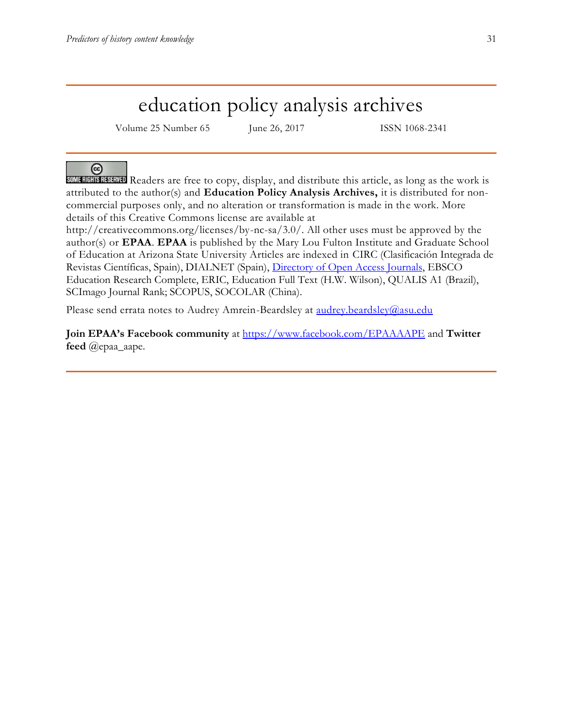## education policy analysis archives

Volume 25 Number 65 June 26, 2017 ISSN 1068-2341

## @

SOME RIGHTS RESERVED Readers are free to copy, display, and distribute this article, as long as the work is attributed to the author(s) and **Education Policy Analysis Archives,** it is distributed for noncommercial purposes only, and no alteration or transformation is made in the work. More details of this Creative Commons license are available at

http://creativecommons.org/licenses/by-nc-sa/3.0/. All other uses must be approved by the author(s) or **EPAA**. **EPAA** is published by the Mary Lou Fulton Institute and Graduate School of Education at Arizona State University Articles are indexed in CIRC (Clasificación Integrada de Revistas Científicas, Spain), DIALNET (Spain), [Directory of Open Access Journals,](http://www.doaj.org/) EBSCO Education Research Complete, ERIC, Education Full Text (H.W. Wilson), QUALIS A1 (Brazil), SCImago Journal Rank; SCOPUS, SOCOLAR (China).

Please send errata notes to Audrey Amrein-Beardsley at [audrey.beardsley@asu.edu](mailto:audrey.beardsley@asu.edu)

**Join EPAA's Facebook community** at<https://www.facebook.com/EPAAAAPE> and **Twitter feed** @epaa\_aape.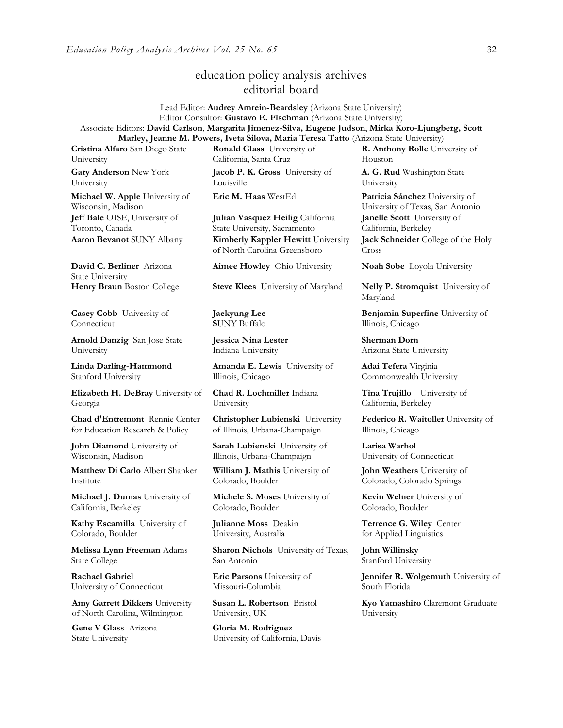## education policy analysis archives editorial board

Lead Editor: **Audrey Amrein-Beardsley** (Arizona State University) Editor Consultor: **Gustavo E. Fischman** (Arizona State University) Associate Editors: **David Carlson**, **Margarita Jimenez-Silva, Eugene Judson**, **Mirka Koro-Ljungberg, Scott Marley, Jeanne M. Powers, Iveta Silova, Maria Teresa Tatto** (Arizona State University)

**Cristina Alfaro** San Diego State University

**Gary Anderson** New York University

**Michael W. Apple** University of Wisconsin, Madison **Jeff Bale** OISE, University of Toronto, Canada

**David C. Berliner** Arizona State University

**Casey Cobb** University of Connecticut

**Arnold Danzig** San Jose State University

**Linda Darling-Hammond**  Stanford University

**Elizabeth H. DeBray** University of Georgia

**Chad d'Entremont** Rennie Center for Education Research & Policy

**John Diamond** University of Wisconsin, Madison

**Matthew Di Carlo** Albert Shanker Institute

**Michael J. Dumas** University of California, Berkeley

**Kathy Escamilla** University of Colorado, Boulder

**Melissa Lynn Freeman** Adams State College

**Rachael Gabriel** University of Connecticut

**Amy Garrett Dikkers** University of North Carolina, Wilmington

**Gene V Glass** Arizona State University

**Ronald Glass** University of California, Santa Cruz **Jacob P. K. Gross** University of

Louisville

**Julian Vasquez Heilig** California State University, Sacramento **Aaron Bevanot** SUNY Albany **Kimberly Kappler Hewitt** University of North Carolina Greensboro

**Aimee Howley** Ohio University **Noah Sobe** Loyola University

**Henry Braun** Boston College **Steve Klees** University of Maryland **Nelly P. Stromquist** University of

**Jaekyung Lee S**UNY Buffalo

**Jessica Nina Lester** Indiana University

**Amanda E. Lewis** University of Illinois, Chicago

**Chad R. Lochmiller** Indiana University

**Christopher Lubienski** University of Illinois, Urbana-Champaign

**Sarah Lubienski** University of Illinois, Urbana-Champaign

**William J. Mathis** University of Colorado, Boulder

**Michele S. Moses** University of Colorado, Boulder

**Julianne Moss** Deakin University, Australia

**Sharon Nichols** University of Texas, San Antonio

**Eric Parsons** University of Missouri-Columbia

**Susan L. Robertson** Bristol University, UK

**Gloria M. Rodriguez** University of California, Davis

**R. Anthony Rolle** University of Houston

**A. G. Rud** Washington State University

**Eric M. Haas** WestEd **Patricia Sánchez** University of University of Texas, San Antonio **Janelle Scott** University of California, Berkeley

> **Jack Schneider** College of the Holy Cross

Maryland

**Benjamin Superfine** University of Illinois, Chicago

**Sherman Dorn** Arizona State University

**Adai Tefera** Virginia Commonwealth University

**Tina Trujillo** University of California, Berkeley

**Federico R. Waitoller** University of Illinois, Chicago

**Larisa Warhol** University of Connecticut

**John Weathers** University of Colorado, Colorado Springs

**Kevin Welner** University of Colorado, Boulder

**Terrence G. Wiley** Center for Applied Linguistics

**John Willinsky**  Stanford University

**Jennifer R. Wolgemuth University of** South Florida

**Kyo Yamashiro** Claremont Graduate University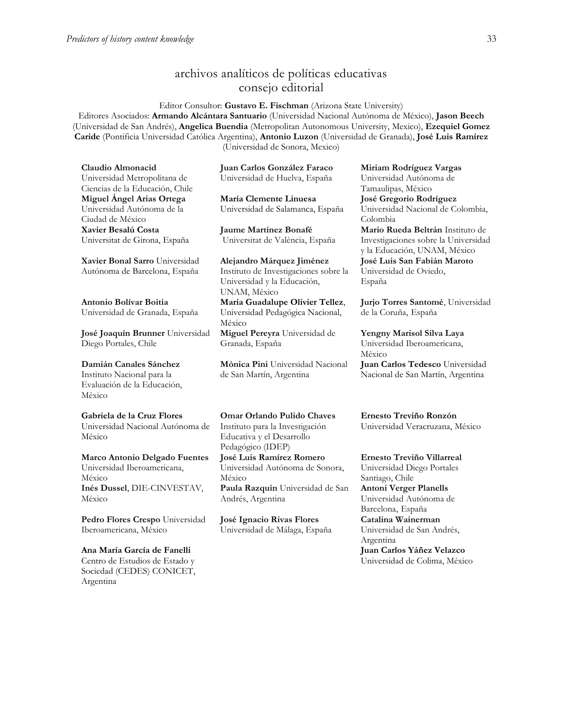## archivos analíticos de políticas educativas consejo editorial

Editor Consultor: **Gustavo E. Fischman** (Arizona State University) Editores Asociados: **Armando Alcántara Santuario** (Universidad Nacional Autónoma de México), **Jason Beech** (Universidad de San Andrés), **Angelica Buendia** (Metropolitan Autonomous University, Mexico), **Ezequiel Gomez Caride** (Pontificia Universidad Católica Argentina), **Antonio Luzon** (Universidad de Granada), **José Luis Ramírez**  (Universidad de Sonora, Mexico)

**Claudio Almonacid** Universidad Metropolitana de Ciencias de la Educación, Chile **Miguel Ángel Arias Ortega**  Universidad Autónoma de la Ciudad de México **Xavier Besalú Costa**  Universitat de Girona, España

**[Xavier Bonal](javascript:openRTWindow() Sarro** Universidad Autónoma de Barcelona, España

**[Antonio Bolívar](javascript:openRTWindow() Boitia** Universidad de Granada, España

**[José Joaquín Brunner](javascript:openRTWindow()** Universidad Diego Portales, Chile

**[Damián Canales Sánchez](javascript:openRTWindow()** Instituto Nacional para la Evaluación de la Educación, México

#### **Gabriela de la Cruz Flores** Universidad Nacional Autónoma de

México **[Marco Antonio Delgado Fuentes](javascript:openRTWindow()**

Universidad Iberoamericana, México **[Inés Dussel](javascript:openRTWindow()**, DIE-CINVESTAV, México

**[Pedro Flores Crespo](javascript:openRTWindow()** Universidad Iberoamericana, México

**Ana María García de Fanelli**  Centro de Estudios de Estado y Sociedad (CEDES) CONICET, Argentina

**Juan Carlos González Faraco**  Universidad de Huelva, España

**María Clemente Linuesa**  Universidad de Salamanca, España

**Jaume Martínez Bonafé** Universitat de València, España

**Alejandro Márquez Jiménez**  Instituto de Investigaciones sobre la Universidad y la Educación, UNAM, México **María Guadalupe Olivier Tellez**, Universidad Pedagógica Nacional, México **[Miguel Pereyra](javascript:openRTWindow()** Universidad de Granada, España

**[Mónica Pini](javascript:openRTWindow()** Universidad Nacional de San Martín, Argentina

**Omar Orlando Pulido Chaves** Instituto para la Investigación Educativa y el Desarrollo

Pedagógico (IDEP) **José [Luis Ramírez](javascript:openRTWindow() Romero** Universidad Autónoma de Sonora, México **[Paula Razquin](javascript:openRTWindow()** Universidad de San Andrés, Argentina

**José Ignacio Rivas Flores** Universidad de Málaga, España **[Miriam Rodríguez Vargas](javascript:openRTWindow()** Universidad Autónoma de Tamaulipas, México **José Gregorio Rodríguez**  Universidad Nacional de Colombia, Colombia **[Mario Rueda Beltrán](javascript:openRTWindow()** Instituto de Investigaciones sobre la Universidad y la Educación, UNAM, México **José Luis San Fabián Maroto**  Universidad de Oviedo, España

**[Jurjo Torres Santomé](javascript:openRTWindow()**, Universidad de la Coruña, España

**[Yengny Marisol Silva Laya](javascript:openRTWindow()** Universidad Iberoamericana, México **Juan Carlos Tedesco** Universidad Nacional de San Martín, Argentina

**Ernesto Treviño Ronzón** Universidad Veracruzana, México

**[Ernesto Treviño](javascript:openRTWindow() Villarreal** Universidad Diego Portales Santiago, Chile **[Antoni Verger Planells](javascript:openRTWindow()** Universidad Autónoma de Barcelona, España **[Catalina Wainerman](javascript:openRTWindow()** Universidad de San Andrés, Argentina **Juan Carlos Yáñez Velazco** Universidad de Colima, México